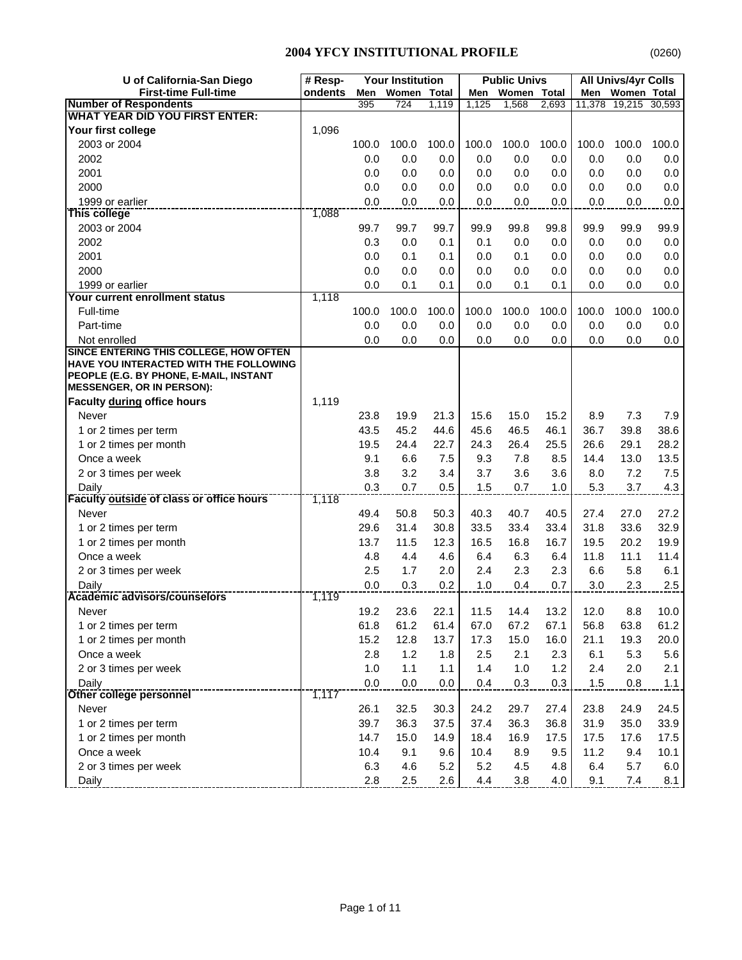| Women Total<br>ondents<br><b>Women Total</b><br>Men<br>Women Total<br>Men<br>Men<br><b>Number of Respondents</b><br>395<br>2,693<br>11,378<br>19,215<br>30,593<br>724<br>1,119<br>1,125<br>1,568<br><b>WHAT YEAR DID YOU FIRST ENTER:</b><br>1,096<br>Your first college<br>2003 or 2004<br>100.0<br>100.0<br>100.0<br>100.0<br>100.0<br>100.0<br>100.0<br>100.0<br>100.0<br>2002<br>0.0<br>0.0<br>0.0<br>0.0<br>0.0<br>0.0<br>0.0<br>0.0<br>0.0<br>2001<br>0.0<br>0.0<br>0.0<br>0.0<br>0.0<br>0.0<br>0.0<br>0.0<br>0.0<br>2000<br>0.0<br>0.0<br>0.0<br>0.0<br>0.0<br>0.0<br>0.0<br>0.0<br>0.0<br>1999 or earlier<br>0.0<br>0.0<br>0.0<br>0.0<br>0.0<br>0.0<br>0.0<br>0.0<br>0.0<br>1,088<br>This college<br>2003 or 2004<br>99.7<br>99.8<br>99.9<br>99.9<br>99.9<br>99.7<br>99.7<br>99.9<br>99.8<br>2002<br>0.3<br>0.0<br>0.1<br>0.1<br>0.0<br>0.0<br>0.0<br>0.0<br>0.0<br>2001<br>0.0<br>0.1<br>0.1<br>0.1<br>0.0<br>0.0<br>0.0<br>0.0<br>0.0<br>2000<br>0.0<br>0.0<br>0.0<br>0.0<br>0.0<br>0.0<br>0.0<br>0.0<br>0.0<br>0.0<br>0.1<br>0.1<br>0.0<br>0.0<br>1999 or earlier<br>0.1<br>0.0<br>0.1<br>0.0<br>Your current enrollment status<br>1,118<br>100.0<br>100.0<br>100.0<br>Full-time<br>100.0<br>100.0<br>100.0<br>100.0<br>100.0<br>100.0<br>0.0<br>0.0<br>0.0<br>0.0<br>0.0<br>$0.0\,$<br>Part-time<br>0.0<br>0.0<br>0.0<br>0.0<br>0.0<br>0.0<br>0.0<br>0.0<br>0.0<br>Not enrolled<br>0.0<br>0.0<br>0.0<br>SINCE ENTERING THIS COLLEGE, HOW OFTEN<br>HAVE YOU INTERACTED WITH THE FOLLOWING<br>PEOPLE (E.G. BY PHONE, E-MAIL, INSTANT<br><b>MESSENGER, OR IN PERSON):</b><br>Faculty during office hours<br>1,119<br>15.6<br>15.2<br>7.3<br>7.9<br>Never<br>23.8<br>19.9<br>21.3<br>15.0<br>8.9<br>45.2<br>36.7<br>43.5<br>44.6<br>45.6<br>46.5<br>46.1<br>39.8<br>38.6<br>1 or 2 times per term<br>19.5<br>24.4<br>22.7<br>26.4<br>25.5<br>26.6<br>29.1<br>28.2<br>1 or 2 times per month<br>24.3<br>9.1<br>6.6<br>7.5<br>9.3<br>7.8<br>8.5<br>14.4<br>13.0<br>13.5<br>Once a week<br>7.5<br>3.8<br>3.2<br>3.7<br>3.6<br>3.6<br>8.0<br>7.2<br>2 or 3 times per week<br>3.4<br>Daily<br>0.7<br>3.7<br>0.3<br>0.5<br>1.5<br>0.7<br>1.0<br>5.3<br>4.3<br><b>Faculty outside of class or office hours</b><br>1,118<br>50.8<br>50.3<br>40.3<br>40.5<br>27.4<br>27.0<br>27.2<br>Never<br>49.4<br>40.7<br>30.8<br>33.6<br>29.6<br>31.4<br>33.5<br>33.4<br>33.4<br>31.8<br>32.9<br>1 or 2 times per term<br>11.5<br>12.3<br>16.5<br>16.7<br>19.5<br>20.2<br>19.9<br>1 or 2 times per month<br>13.7<br>16.8<br>Once a week<br>4.8<br>4.4<br>4.6<br>6.4<br>11.8<br>11.1<br>11.4<br>6.4<br>6.3<br>2.5<br>1.7<br>2.3<br>2.3<br>6.6<br>5.8<br>6.1<br>2.0<br>2.4<br>2 or 3 times per week<br>0.3<br>0.2<br>Daily<br>0.0<br>1.0<br>0.4<br>0.7<br>3.0<br>2.3<br>2.5<br><b>Academic advisors/counselors</b><br>1,119<br>19.2<br>23.6<br>22.1<br>11.5<br>13.2<br>12.0<br>8.8<br>10.0<br>Never<br>14.4<br>61.8<br>61.2<br>61.4<br>61.2<br>1 or 2 times per term<br>67.0<br>67.2<br>67.1<br>56.8<br>63.8<br>12.8<br>21.1<br>1 or 2 times per month<br>15.2<br>13.7<br>17.3<br>15.0<br>16.0<br>19.3<br>20.0<br>1.2<br>6.1<br>5.6<br>Once a week<br>2.8<br>1.8<br>2.5<br>2.1<br>2.3<br>5.3<br>1.1<br>1.2<br>2 or 3 times per week<br>1.0<br>$1.1$<br>1.4<br>1.0<br>2.4<br>2.0<br>2.1<br>0.0<br>0.3<br>Daily<br>0.0<br>0.0<br>0.4<br>0.3<br>1.5<br>0.8<br>1.1<br>1,117<br>Other college personnel<br>26.1<br>32.5<br>24.2<br>27.4<br>23.8<br>24.5<br>Never<br>30.3<br>29.7<br>24.9<br>36.3<br>37.5<br>37.4<br>36.8<br>31.9<br>35.0<br>33.9<br>1 or 2 times per term<br>39.7<br>36.3<br>14.7<br>15.0<br>18.4<br>17.5<br>17.5<br>17.6<br>1 or 2 times per month<br>14.9<br>16.9<br>17.5<br>Once a week<br>10.4<br>9.1<br>9.6<br>10.4<br>9.5<br>11.2<br>9.4<br>8.9<br>10.1<br>5.2<br>2 or 3 times per week<br>6.3<br>4.6<br>5.2<br>4.5<br>4.8<br>6.4<br>5.7<br>6.0<br>2.8<br>2.5<br>2.6<br>4.4<br>3.8<br>4.0<br>9.1<br>7.4<br>Daily<br>8.1 | U of California-San Diego   | <b>Your Institution</b><br># Resp- |  | <b>Public Univs</b> | All Univs/4yr Colls |  |  |  |
|----------------------------------------------------------------------------------------------------------------------------------------------------------------------------------------------------------------------------------------------------------------------------------------------------------------------------------------------------------------------------------------------------------------------------------------------------------------------------------------------------------------------------------------------------------------------------------------------------------------------------------------------------------------------------------------------------------------------------------------------------------------------------------------------------------------------------------------------------------------------------------------------------------------------------------------------------------------------------------------------------------------------------------------------------------------------------------------------------------------------------------------------------------------------------------------------------------------------------------------------------------------------------------------------------------------------------------------------------------------------------------------------------------------------------------------------------------------------------------------------------------------------------------------------------------------------------------------------------------------------------------------------------------------------------------------------------------------------------------------------------------------------------------------------------------------------------------------------------------------------------------------------------------------------------------------------------------------------------------------------------------------------------------------------------------------------------------------------------------------------------------------------------------------------------------------------------------------------------------------------------------------------------------------------------------------------------------------------------------------------------------------------------------------------------------------------------------------------------------------------------------------------------------------------------------------------------------------------------------------------------------------------------------------------------------------------------------------------------------------------------------------------------------------------------------------------------------------------------------------------------------------------------------------------------------------------------------------------------------------------------------------------------------------------------------------------------------------------------------------------------------------------------------------------------------------------------------------------------------------------------------------------------------------------------------------------------------------------------------------------------------------------------------------------------------------------------------------------------------------------------------------------------------------------------------------------------------------------------------------------------------------------------------------------------------------------------------------------------------------------------------------------------------------------------------------------------------------------------------------------------------------------------------------------------|-----------------------------|------------------------------------|--|---------------------|---------------------|--|--|--|
|                                                                                                                                                                                                                                                                                                                                                                                                                                                                                                                                                                                                                                                                                                                                                                                                                                                                                                                                                                                                                                                                                                                                                                                                                                                                                                                                                                                                                                                                                                                                                                                                                                                                                                                                                                                                                                                                                                                                                                                                                                                                                                                                                                                                                                                                                                                                                                                                                                                                                                                                                                                                                                                                                                                                                                                                                                                                                                                                                                                                                                                                                                                                                                                                                                                                                                                                                                                                                                                                                                                                                                                                                                                                                                                                                                                                                                                                                                                            | <b>First-time Full-time</b> |                                    |  |                     |                     |  |  |  |
|                                                                                                                                                                                                                                                                                                                                                                                                                                                                                                                                                                                                                                                                                                                                                                                                                                                                                                                                                                                                                                                                                                                                                                                                                                                                                                                                                                                                                                                                                                                                                                                                                                                                                                                                                                                                                                                                                                                                                                                                                                                                                                                                                                                                                                                                                                                                                                                                                                                                                                                                                                                                                                                                                                                                                                                                                                                                                                                                                                                                                                                                                                                                                                                                                                                                                                                                                                                                                                                                                                                                                                                                                                                                                                                                                                                                                                                                                                                            |                             |                                    |  |                     |                     |  |  |  |
|                                                                                                                                                                                                                                                                                                                                                                                                                                                                                                                                                                                                                                                                                                                                                                                                                                                                                                                                                                                                                                                                                                                                                                                                                                                                                                                                                                                                                                                                                                                                                                                                                                                                                                                                                                                                                                                                                                                                                                                                                                                                                                                                                                                                                                                                                                                                                                                                                                                                                                                                                                                                                                                                                                                                                                                                                                                                                                                                                                                                                                                                                                                                                                                                                                                                                                                                                                                                                                                                                                                                                                                                                                                                                                                                                                                                                                                                                                                            |                             |                                    |  |                     |                     |  |  |  |
|                                                                                                                                                                                                                                                                                                                                                                                                                                                                                                                                                                                                                                                                                                                                                                                                                                                                                                                                                                                                                                                                                                                                                                                                                                                                                                                                                                                                                                                                                                                                                                                                                                                                                                                                                                                                                                                                                                                                                                                                                                                                                                                                                                                                                                                                                                                                                                                                                                                                                                                                                                                                                                                                                                                                                                                                                                                                                                                                                                                                                                                                                                                                                                                                                                                                                                                                                                                                                                                                                                                                                                                                                                                                                                                                                                                                                                                                                                                            |                             |                                    |  |                     |                     |  |  |  |
|                                                                                                                                                                                                                                                                                                                                                                                                                                                                                                                                                                                                                                                                                                                                                                                                                                                                                                                                                                                                                                                                                                                                                                                                                                                                                                                                                                                                                                                                                                                                                                                                                                                                                                                                                                                                                                                                                                                                                                                                                                                                                                                                                                                                                                                                                                                                                                                                                                                                                                                                                                                                                                                                                                                                                                                                                                                                                                                                                                                                                                                                                                                                                                                                                                                                                                                                                                                                                                                                                                                                                                                                                                                                                                                                                                                                                                                                                                                            |                             |                                    |  |                     |                     |  |  |  |
|                                                                                                                                                                                                                                                                                                                                                                                                                                                                                                                                                                                                                                                                                                                                                                                                                                                                                                                                                                                                                                                                                                                                                                                                                                                                                                                                                                                                                                                                                                                                                                                                                                                                                                                                                                                                                                                                                                                                                                                                                                                                                                                                                                                                                                                                                                                                                                                                                                                                                                                                                                                                                                                                                                                                                                                                                                                                                                                                                                                                                                                                                                                                                                                                                                                                                                                                                                                                                                                                                                                                                                                                                                                                                                                                                                                                                                                                                                                            |                             |                                    |  |                     |                     |  |  |  |
|                                                                                                                                                                                                                                                                                                                                                                                                                                                                                                                                                                                                                                                                                                                                                                                                                                                                                                                                                                                                                                                                                                                                                                                                                                                                                                                                                                                                                                                                                                                                                                                                                                                                                                                                                                                                                                                                                                                                                                                                                                                                                                                                                                                                                                                                                                                                                                                                                                                                                                                                                                                                                                                                                                                                                                                                                                                                                                                                                                                                                                                                                                                                                                                                                                                                                                                                                                                                                                                                                                                                                                                                                                                                                                                                                                                                                                                                                                                            |                             |                                    |  |                     |                     |  |  |  |
|                                                                                                                                                                                                                                                                                                                                                                                                                                                                                                                                                                                                                                                                                                                                                                                                                                                                                                                                                                                                                                                                                                                                                                                                                                                                                                                                                                                                                                                                                                                                                                                                                                                                                                                                                                                                                                                                                                                                                                                                                                                                                                                                                                                                                                                                                                                                                                                                                                                                                                                                                                                                                                                                                                                                                                                                                                                                                                                                                                                                                                                                                                                                                                                                                                                                                                                                                                                                                                                                                                                                                                                                                                                                                                                                                                                                                                                                                                                            |                             |                                    |  |                     |                     |  |  |  |
|                                                                                                                                                                                                                                                                                                                                                                                                                                                                                                                                                                                                                                                                                                                                                                                                                                                                                                                                                                                                                                                                                                                                                                                                                                                                                                                                                                                                                                                                                                                                                                                                                                                                                                                                                                                                                                                                                                                                                                                                                                                                                                                                                                                                                                                                                                                                                                                                                                                                                                                                                                                                                                                                                                                                                                                                                                                                                                                                                                                                                                                                                                                                                                                                                                                                                                                                                                                                                                                                                                                                                                                                                                                                                                                                                                                                                                                                                                                            |                             |                                    |  |                     |                     |  |  |  |
|                                                                                                                                                                                                                                                                                                                                                                                                                                                                                                                                                                                                                                                                                                                                                                                                                                                                                                                                                                                                                                                                                                                                                                                                                                                                                                                                                                                                                                                                                                                                                                                                                                                                                                                                                                                                                                                                                                                                                                                                                                                                                                                                                                                                                                                                                                                                                                                                                                                                                                                                                                                                                                                                                                                                                                                                                                                                                                                                                                                                                                                                                                                                                                                                                                                                                                                                                                                                                                                                                                                                                                                                                                                                                                                                                                                                                                                                                                                            |                             |                                    |  |                     |                     |  |  |  |
|                                                                                                                                                                                                                                                                                                                                                                                                                                                                                                                                                                                                                                                                                                                                                                                                                                                                                                                                                                                                                                                                                                                                                                                                                                                                                                                                                                                                                                                                                                                                                                                                                                                                                                                                                                                                                                                                                                                                                                                                                                                                                                                                                                                                                                                                                                                                                                                                                                                                                                                                                                                                                                                                                                                                                                                                                                                                                                                                                                                                                                                                                                                                                                                                                                                                                                                                                                                                                                                                                                                                                                                                                                                                                                                                                                                                                                                                                                                            |                             |                                    |  |                     |                     |  |  |  |
|                                                                                                                                                                                                                                                                                                                                                                                                                                                                                                                                                                                                                                                                                                                                                                                                                                                                                                                                                                                                                                                                                                                                                                                                                                                                                                                                                                                                                                                                                                                                                                                                                                                                                                                                                                                                                                                                                                                                                                                                                                                                                                                                                                                                                                                                                                                                                                                                                                                                                                                                                                                                                                                                                                                                                                                                                                                                                                                                                                                                                                                                                                                                                                                                                                                                                                                                                                                                                                                                                                                                                                                                                                                                                                                                                                                                                                                                                                                            |                             |                                    |  |                     |                     |  |  |  |
|                                                                                                                                                                                                                                                                                                                                                                                                                                                                                                                                                                                                                                                                                                                                                                                                                                                                                                                                                                                                                                                                                                                                                                                                                                                                                                                                                                                                                                                                                                                                                                                                                                                                                                                                                                                                                                                                                                                                                                                                                                                                                                                                                                                                                                                                                                                                                                                                                                                                                                                                                                                                                                                                                                                                                                                                                                                                                                                                                                                                                                                                                                                                                                                                                                                                                                                                                                                                                                                                                                                                                                                                                                                                                                                                                                                                                                                                                                                            |                             |                                    |  |                     |                     |  |  |  |
|                                                                                                                                                                                                                                                                                                                                                                                                                                                                                                                                                                                                                                                                                                                                                                                                                                                                                                                                                                                                                                                                                                                                                                                                                                                                                                                                                                                                                                                                                                                                                                                                                                                                                                                                                                                                                                                                                                                                                                                                                                                                                                                                                                                                                                                                                                                                                                                                                                                                                                                                                                                                                                                                                                                                                                                                                                                                                                                                                                                                                                                                                                                                                                                                                                                                                                                                                                                                                                                                                                                                                                                                                                                                                                                                                                                                                                                                                                                            |                             |                                    |  |                     |                     |  |  |  |
|                                                                                                                                                                                                                                                                                                                                                                                                                                                                                                                                                                                                                                                                                                                                                                                                                                                                                                                                                                                                                                                                                                                                                                                                                                                                                                                                                                                                                                                                                                                                                                                                                                                                                                                                                                                                                                                                                                                                                                                                                                                                                                                                                                                                                                                                                                                                                                                                                                                                                                                                                                                                                                                                                                                                                                                                                                                                                                                                                                                                                                                                                                                                                                                                                                                                                                                                                                                                                                                                                                                                                                                                                                                                                                                                                                                                                                                                                                                            |                             |                                    |  |                     |                     |  |  |  |
|                                                                                                                                                                                                                                                                                                                                                                                                                                                                                                                                                                                                                                                                                                                                                                                                                                                                                                                                                                                                                                                                                                                                                                                                                                                                                                                                                                                                                                                                                                                                                                                                                                                                                                                                                                                                                                                                                                                                                                                                                                                                                                                                                                                                                                                                                                                                                                                                                                                                                                                                                                                                                                                                                                                                                                                                                                                                                                                                                                                                                                                                                                                                                                                                                                                                                                                                                                                                                                                                                                                                                                                                                                                                                                                                                                                                                                                                                                                            |                             |                                    |  |                     |                     |  |  |  |
|                                                                                                                                                                                                                                                                                                                                                                                                                                                                                                                                                                                                                                                                                                                                                                                                                                                                                                                                                                                                                                                                                                                                                                                                                                                                                                                                                                                                                                                                                                                                                                                                                                                                                                                                                                                                                                                                                                                                                                                                                                                                                                                                                                                                                                                                                                                                                                                                                                                                                                                                                                                                                                                                                                                                                                                                                                                                                                                                                                                                                                                                                                                                                                                                                                                                                                                                                                                                                                                                                                                                                                                                                                                                                                                                                                                                                                                                                                                            |                             |                                    |  |                     |                     |  |  |  |
|                                                                                                                                                                                                                                                                                                                                                                                                                                                                                                                                                                                                                                                                                                                                                                                                                                                                                                                                                                                                                                                                                                                                                                                                                                                                                                                                                                                                                                                                                                                                                                                                                                                                                                                                                                                                                                                                                                                                                                                                                                                                                                                                                                                                                                                                                                                                                                                                                                                                                                                                                                                                                                                                                                                                                                                                                                                                                                                                                                                                                                                                                                                                                                                                                                                                                                                                                                                                                                                                                                                                                                                                                                                                                                                                                                                                                                                                                                                            |                             |                                    |  |                     |                     |  |  |  |
|                                                                                                                                                                                                                                                                                                                                                                                                                                                                                                                                                                                                                                                                                                                                                                                                                                                                                                                                                                                                                                                                                                                                                                                                                                                                                                                                                                                                                                                                                                                                                                                                                                                                                                                                                                                                                                                                                                                                                                                                                                                                                                                                                                                                                                                                                                                                                                                                                                                                                                                                                                                                                                                                                                                                                                                                                                                                                                                                                                                                                                                                                                                                                                                                                                                                                                                                                                                                                                                                                                                                                                                                                                                                                                                                                                                                                                                                                                                            |                             |                                    |  |                     |                     |  |  |  |
|                                                                                                                                                                                                                                                                                                                                                                                                                                                                                                                                                                                                                                                                                                                                                                                                                                                                                                                                                                                                                                                                                                                                                                                                                                                                                                                                                                                                                                                                                                                                                                                                                                                                                                                                                                                                                                                                                                                                                                                                                                                                                                                                                                                                                                                                                                                                                                                                                                                                                                                                                                                                                                                                                                                                                                                                                                                                                                                                                                                                                                                                                                                                                                                                                                                                                                                                                                                                                                                                                                                                                                                                                                                                                                                                                                                                                                                                                                                            |                             |                                    |  |                     |                     |  |  |  |
|                                                                                                                                                                                                                                                                                                                                                                                                                                                                                                                                                                                                                                                                                                                                                                                                                                                                                                                                                                                                                                                                                                                                                                                                                                                                                                                                                                                                                                                                                                                                                                                                                                                                                                                                                                                                                                                                                                                                                                                                                                                                                                                                                                                                                                                                                                                                                                                                                                                                                                                                                                                                                                                                                                                                                                                                                                                                                                                                                                                                                                                                                                                                                                                                                                                                                                                                                                                                                                                                                                                                                                                                                                                                                                                                                                                                                                                                                                                            |                             |                                    |  |                     |                     |  |  |  |
|                                                                                                                                                                                                                                                                                                                                                                                                                                                                                                                                                                                                                                                                                                                                                                                                                                                                                                                                                                                                                                                                                                                                                                                                                                                                                                                                                                                                                                                                                                                                                                                                                                                                                                                                                                                                                                                                                                                                                                                                                                                                                                                                                                                                                                                                                                                                                                                                                                                                                                                                                                                                                                                                                                                                                                                                                                                                                                                                                                                                                                                                                                                                                                                                                                                                                                                                                                                                                                                                                                                                                                                                                                                                                                                                                                                                                                                                                                                            |                             |                                    |  |                     |                     |  |  |  |
|                                                                                                                                                                                                                                                                                                                                                                                                                                                                                                                                                                                                                                                                                                                                                                                                                                                                                                                                                                                                                                                                                                                                                                                                                                                                                                                                                                                                                                                                                                                                                                                                                                                                                                                                                                                                                                                                                                                                                                                                                                                                                                                                                                                                                                                                                                                                                                                                                                                                                                                                                                                                                                                                                                                                                                                                                                                                                                                                                                                                                                                                                                                                                                                                                                                                                                                                                                                                                                                                                                                                                                                                                                                                                                                                                                                                                                                                                                                            |                             |                                    |  |                     |                     |  |  |  |
|                                                                                                                                                                                                                                                                                                                                                                                                                                                                                                                                                                                                                                                                                                                                                                                                                                                                                                                                                                                                                                                                                                                                                                                                                                                                                                                                                                                                                                                                                                                                                                                                                                                                                                                                                                                                                                                                                                                                                                                                                                                                                                                                                                                                                                                                                                                                                                                                                                                                                                                                                                                                                                                                                                                                                                                                                                                                                                                                                                                                                                                                                                                                                                                                                                                                                                                                                                                                                                                                                                                                                                                                                                                                                                                                                                                                                                                                                                                            |                             |                                    |  |                     |                     |  |  |  |
|                                                                                                                                                                                                                                                                                                                                                                                                                                                                                                                                                                                                                                                                                                                                                                                                                                                                                                                                                                                                                                                                                                                                                                                                                                                                                                                                                                                                                                                                                                                                                                                                                                                                                                                                                                                                                                                                                                                                                                                                                                                                                                                                                                                                                                                                                                                                                                                                                                                                                                                                                                                                                                                                                                                                                                                                                                                                                                                                                                                                                                                                                                                                                                                                                                                                                                                                                                                                                                                                                                                                                                                                                                                                                                                                                                                                                                                                                                                            |                             |                                    |  |                     |                     |  |  |  |
|                                                                                                                                                                                                                                                                                                                                                                                                                                                                                                                                                                                                                                                                                                                                                                                                                                                                                                                                                                                                                                                                                                                                                                                                                                                                                                                                                                                                                                                                                                                                                                                                                                                                                                                                                                                                                                                                                                                                                                                                                                                                                                                                                                                                                                                                                                                                                                                                                                                                                                                                                                                                                                                                                                                                                                                                                                                                                                                                                                                                                                                                                                                                                                                                                                                                                                                                                                                                                                                                                                                                                                                                                                                                                                                                                                                                                                                                                                                            |                             |                                    |  |                     |                     |  |  |  |
|                                                                                                                                                                                                                                                                                                                                                                                                                                                                                                                                                                                                                                                                                                                                                                                                                                                                                                                                                                                                                                                                                                                                                                                                                                                                                                                                                                                                                                                                                                                                                                                                                                                                                                                                                                                                                                                                                                                                                                                                                                                                                                                                                                                                                                                                                                                                                                                                                                                                                                                                                                                                                                                                                                                                                                                                                                                                                                                                                                                                                                                                                                                                                                                                                                                                                                                                                                                                                                                                                                                                                                                                                                                                                                                                                                                                                                                                                                                            |                             |                                    |  |                     |                     |  |  |  |
|                                                                                                                                                                                                                                                                                                                                                                                                                                                                                                                                                                                                                                                                                                                                                                                                                                                                                                                                                                                                                                                                                                                                                                                                                                                                                                                                                                                                                                                                                                                                                                                                                                                                                                                                                                                                                                                                                                                                                                                                                                                                                                                                                                                                                                                                                                                                                                                                                                                                                                                                                                                                                                                                                                                                                                                                                                                                                                                                                                                                                                                                                                                                                                                                                                                                                                                                                                                                                                                                                                                                                                                                                                                                                                                                                                                                                                                                                                                            |                             |                                    |  |                     |                     |  |  |  |
|                                                                                                                                                                                                                                                                                                                                                                                                                                                                                                                                                                                                                                                                                                                                                                                                                                                                                                                                                                                                                                                                                                                                                                                                                                                                                                                                                                                                                                                                                                                                                                                                                                                                                                                                                                                                                                                                                                                                                                                                                                                                                                                                                                                                                                                                                                                                                                                                                                                                                                                                                                                                                                                                                                                                                                                                                                                                                                                                                                                                                                                                                                                                                                                                                                                                                                                                                                                                                                                                                                                                                                                                                                                                                                                                                                                                                                                                                                                            |                             |                                    |  |                     |                     |  |  |  |
|                                                                                                                                                                                                                                                                                                                                                                                                                                                                                                                                                                                                                                                                                                                                                                                                                                                                                                                                                                                                                                                                                                                                                                                                                                                                                                                                                                                                                                                                                                                                                                                                                                                                                                                                                                                                                                                                                                                                                                                                                                                                                                                                                                                                                                                                                                                                                                                                                                                                                                                                                                                                                                                                                                                                                                                                                                                                                                                                                                                                                                                                                                                                                                                                                                                                                                                                                                                                                                                                                                                                                                                                                                                                                                                                                                                                                                                                                                                            |                             |                                    |  |                     |                     |  |  |  |
|                                                                                                                                                                                                                                                                                                                                                                                                                                                                                                                                                                                                                                                                                                                                                                                                                                                                                                                                                                                                                                                                                                                                                                                                                                                                                                                                                                                                                                                                                                                                                                                                                                                                                                                                                                                                                                                                                                                                                                                                                                                                                                                                                                                                                                                                                                                                                                                                                                                                                                                                                                                                                                                                                                                                                                                                                                                                                                                                                                                                                                                                                                                                                                                                                                                                                                                                                                                                                                                                                                                                                                                                                                                                                                                                                                                                                                                                                                                            |                             |                                    |  |                     |                     |  |  |  |
|                                                                                                                                                                                                                                                                                                                                                                                                                                                                                                                                                                                                                                                                                                                                                                                                                                                                                                                                                                                                                                                                                                                                                                                                                                                                                                                                                                                                                                                                                                                                                                                                                                                                                                                                                                                                                                                                                                                                                                                                                                                                                                                                                                                                                                                                                                                                                                                                                                                                                                                                                                                                                                                                                                                                                                                                                                                                                                                                                                                                                                                                                                                                                                                                                                                                                                                                                                                                                                                                                                                                                                                                                                                                                                                                                                                                                                                                                                                            |                             |                                    |  |                     |                     |  |  |  |
|                                                                                                                                                                                                                                                                                                                                                                                                                                                                                                                                                                                                                                                                                                                                                                                                                                                                                                                                                                                                                                                                                                                                                                                                                                                                                                                                                                                                                                                                                                                                                                                                                                                                                                                                                                                                                                                                                                                                                                                                                                                                                                                                                                                                                                                                                                                                                                                                                                                                                                                                                                                                                                                                                                                                                                                                                                                                                                                                                                                                                                                                                                                                                                                                                                                                                                                                                                                                                                                                                                                                                                                                                                                                                                                                                                                                                                                                                                                            |                             |                                    |  |                     |                     |  |  |  |
|                                                                                                                                                                                                                                                                                                                                                                                                                                                                                                                                                                                                                                                                                                                                                                                                                                                                                                                                                                                                                                                                                                                                                                                                                                                                                                                                                                                                                                                                                                                                                                                                                                                                                                                                                                                                                                                                                                                                                                                                                                                                                                                                                                                                                                                                                                                                                                                                                                                                                                                                                                                                                                                                                                                                                                                                                                                                                                                                                                                                                                                                                                                                                                                                                                                                                                                                                                                                                                                                                                                                                                                                                                                                                                                                                                                                                                                                                                                            |                             |                                    |  |                     |                     |  |  |  |
|                                                                                                                                                                                                                                                                                                                                                                                                                                                                                                                                                                                                                                                                                                                                                                                                                                                                                                                                                                                                                                                                                                                                                                                                                                                                                                                                                                                                                                                                                                                                                                                                                                                                                                                                                                                                                                                                                                                                                                                                                                                                                                                                                                                                                                                                                                                                                                                                                                                                                                                                                                                                                                                                                                                                                                                                                                                                                                                                                                                                                                                                                                                                                                                                                                                                                                                                                                                                                                                                                                                                                                                                                                                                                                                                                                                                                                                                                                                            |                             |                                    |  |                     |                     |  |  |  |
|                                                                                                                                                                                                                                                                                                                                                                                                                                                                                                                                                                                                                                                                                                                                                                                                                                                                                                                                                                                                                                                                                                                                                                                                                                                                                                                                                                                                                                                                                                                                                                                                                                                                                                                                                                                                                                                                                                                                                                                                                                                                                                                                                                                                                                                                                                                                                                                                                                                                                                                                                                                                                                                                                                                                                                                                                                                                                                                                                                                                                                                                                                                                                                                                                                                                                                                                                                                                                                                                                                                                                                                                                                                                                                                                                                                                                                                                                                                            |                             |                                    |  |                     |                     |  |  |  |
|                                                                                                                                                                                                                                                                                                                                                                                                                                                                                                                                                                                                                                                                                                                                                                                                                                                                                                                                                                                                                                                                                                                                                                                                                                                                                                                                                                                                                                                                                                                                                                                                                                                                                                                                                                                                                                                                                                                                                                                                                                                                                                                                                                                                                                                                                                                                                                                                                                                                                                                                                                                                                                                                                                                                                                                                                                                                                                                                                                                                                                                                                                                                                                                                                                                                                                                                                                                                                                                                                                                                                                                                                                                                                                                                                                                                                                                                                                                            |                             |                                    |  |                     |                     |  |  |  |
|                                                                                                                                                                                                                                                                                                                                                                                                                                                                                                                                                                                                                                                                                                                                                                                                                                                                                                                                                                                                                                                                                                                                                                                                                                                                                                                                                                                                                                                                                                                                                                                                                                                                                                                                                                                                                                                                                                                                                                                                                                                                                                                                                                                                                                                                                                                                                                                                                                                                                                                                                                                                                                                                                                                                                                                                                                                                                                                                                                                                                                                                                                                                                                                                                                                                                                                                                                                                                                                                                                                                                                                                                                                                                                                                                                                                                                                                                                                            |                             |                                    |  |                     |                     |  |  |  |
|                                                                                                                                                                                                                                                                                                                                                                                                                                                                                                                                                                                                                                                                                                                                                                                                                                                                                                                                                                                                                                                                                                                                                                                                                                                                                                                                                                                                                                                                                                                                                                                                                                                                                                                                                                                                                                                                                                                                                                                                                                                                                                                                                                                                                                                                                                                                                                                                                                                                                                                                                                                                                                                                                                                                                                                                                                                                                                                                                                                                                                                                                                                                                                                                                                                                                                                                                                                                                                                                                                                                                                                                                                                                                                                                                                                                                                                                                                                            |                             |                                    |  |                     |                     |  |  |  |
|                                                                                                                                                                                                                                                                                                                                                                                                                                                                                                                                                                                                                                                                                                                                                                                                                                                                                                                                                                                                                                                                                                                                                                                                                                                                                                                                                                                                                                                                                                                                                                                                                                                                                                                                                                                                                                                                                                                                                                                                                                                                                                                                                                                                                                                                                                                                                                                                                                                                                                                                                                                                                                                                                                                                                                                                                                                                                                                                                                                                                                                                                                                                                                                                                                                                                                                                                                                                                                                                                                                                                                                                                                                                                                                                                                                                                                                                                                                            |                             |                                    |  |                     |                     |  |  |  |
|                                                                                                                                                                                                                                                                                                                                                                                                                                                                                                                                                                                                                                                                                                                                                                                                                                                                                                                                                                                                                                                                                                                                                                                                                                                                                                                                                                                                                                                                                                                                                                                                                                                                                                                                                                                                                                                                                                                                                                                                                                                                                                                                                                                                                                                                                                                                                                                                                                                                                                                                                                                                                                                                                                                                                                                                                                                                                                                                                                                                                                                                                                                                                                                                                                                                                                                                                                                                                                                                                                                                                                                                                                                                                                                                                                                                                                                                                                                            |                             |                                    |  |                     |                     |  |  |  |
|                                                                                                                                                                                                                                                                                                                                                                                                                                                                                                                                                                                                                                                                                                                                                                                                                                                                                                                                                                                                                                                                                                                                                                                                                                                                                                                                                                                                                                                                                                                                                                                                                                                                                                                                                                                                                                                                                                                                                                                                                                                                                                                                                                                                                                                                                                                                                                                                                                                                                                                                                                                                                                                                                                                                                                                                                                                                                                                                                                                                                                                                                                                                                                                                                                                                                                                                                                                                                                                                                                                                                                                                                                                                                                                                                                                                                                                                                                                            |                             |                                    |  |                     |                     |  |  |  |
|                                                                                                                                                                                                                                                                                                                                                                                                                                                                                                                                                                                                                                                                                                                                                                                                                                                                                                                                                                                                                                                                                                                                                                                                                                                                                                                                                                                                                                                                                                                                                                                                                                                                                                                                                                                                                                                                                                                                                                                                                                                                                                                                                                                                                                                                                                                                                                                                                                                                                                                                                                                                                                                                                                                                                                                                                                                                                                                                                                                                                                                                                                                                                                                                                                                                                                                                                                                                                                                                                                                                                                                                                                                                                                                                                                                                                                                                                                                            |                             |                                    |  |                     |                     |  |  |  |
|                                                                                                                                                                                                                                                                                                                                                                                                                                                                                                                                                                                                                                                                                                                                                                                                                                                                                                                                                                                                                                                                                                                                                                                                                                                                                                                                                                                                                                                                                                                                                                                                                                                                                                                                                                                                                                                                                                                                                                                                                                                                                                                                                                                                                                                                                                                                                                                                                                                                                                                                                                                                                                                                                                                                                                                                                                                                                                                                                                                                                                                                                                                                                                                                                                                                                                                                                                                                                                                                                                                                                                                                                                                                                                                                                                                                                                                                                                                            |                             |                                    |  |                     |                     |  |  |  |
|                                                                                                                                                                                                                                                                                                                                                                                                                                                                                                                                                                                                                                                                                                                                                                                                                                                                                                                                                                                                                                                                                                                                                                                                                                                                                                                                                                                                                                                                                                                                                                                                                                                                                                                                                                                                                                                                                                                                                                                                                                                                                                                                                                                                                                                                                                                                                                                                                                                                                                                                                                                                                                                                                                                                                                                                                                                                                                                                                                                                                                                                                                                                                                                                                                                                                                                                                                                                                                                                                                                                                                                                                                                                                                                                                                                                                                                                                                                            |                             |                                    |  |                     |                     |  |  |  |
|                                                                                                                                                                                                                                                                                                                                                                                                                                                                                                                                                                                                                                                                                                                                                                                                                                                                                                                                                                                                                                                                                                                                                                                                                                                                                                                                                                                                                                                                                                                                                                                                                                                                                                                                                                                                                                                                                                                                                                                                                                                                                                                                                                                                                                                                                                                                                                                                                                                                                                                                                                                                                                                                                                                                                                                                                                                                                                                                                                                                                                                                                                                                                                                                                                                                                                                                                                                                                                                                                                                                                                                                                                                                                                                                                                                                                                                                                                                            |                             |                                    |  |                     |                     |  |  |  |
|                                                                                                                                                                                                                                                                                                                                                                                                                                                                                                                                                                                                                                                                                                                                                                                                                                                                                                                                                                                                                                                                                                                                                                                                                                                                                                                                                                                                                                                                                                                                                                                                                                                                                                                                                                                                                                                                                                                                                                                                                                                                                                                                                                                                                                                                                                                                                                                                                                                                                                                                                                                                                                                                                                                                                                                                                                                                                                                                                                                                                                                                                                                                                                                                                                                                                                                                                                                                                                                                                                                                                                                                                                                                                                                                                                                                                                                                                                                            |                             |                                    |  |                     |                     |  |  |  |
|                                                                                                                                                                                                                                                                                                                                                                                                                                                                                                                                                                                                                                                                                                                                                                                                                                                                                                                                                                                                                                                                                                                                                                                                                                                                                                                                                                                                                                                                                                                                                                                                                                                                                                                                                                                                                                                                                                                                                                                                                                                                                                                                                                                                                                                                                                                                                                                                                                                                                                                                                                                                                                                                                                                                                                                                                                                                                                                                                                                                                                                                                                                                                                                                                                                                                                                                                                                                                                                                                                                                                                                                                                                                                                                                                                                                                                                                                                                            |                             |                                    |  |                     |                     |  |  |  |
|                                                                                                                                                                                                                                                                                                                                                                                                                                                                                                                                                                                                                                                                                                                                                                                                                                                                                                                                                                                                                                                                                                                                                                                                                                                                                                                                                                                                                                                                                                                                                                                                                                                                                                                                                                                                                                                                                                                                                                                                                                                                                                                                                                                                                                                                                                                                                                                                                                                                                                                                                                                                                                                                                                                                                                                                                                                                                                                                                                                                                                                                                                                                                                                                                                                                                                                                                                                                                                                                                                                                                                                                                                                                                                                                                                                                                                                                                                                            |                             |                                    |  |                     |                     |  |  |  |
|                                                                                                                                                                                                                                                                                                                                                                                                                                                                                                                                                                                                                                                                                                                                                                                                                                                                                                                                                                                                                                                                                                                                                                                                                                                                                                                                                                                                                                                                                                                                                                                                                                                                                                                                                                                                                                                                                                                                                                                                                                                                                                                                                                                                                                                                                                                                                                                                                                                                                                                                                                                                                                                                                                                                                                                                                                                                                                                                                                                                                                                                                                                                                                                                                                                                                                                                                                                                                                                                                                                                                                                                                                                                                                                                                                                                                                                                                                                            |                             |                                    |  |                     |                     |  |  |  |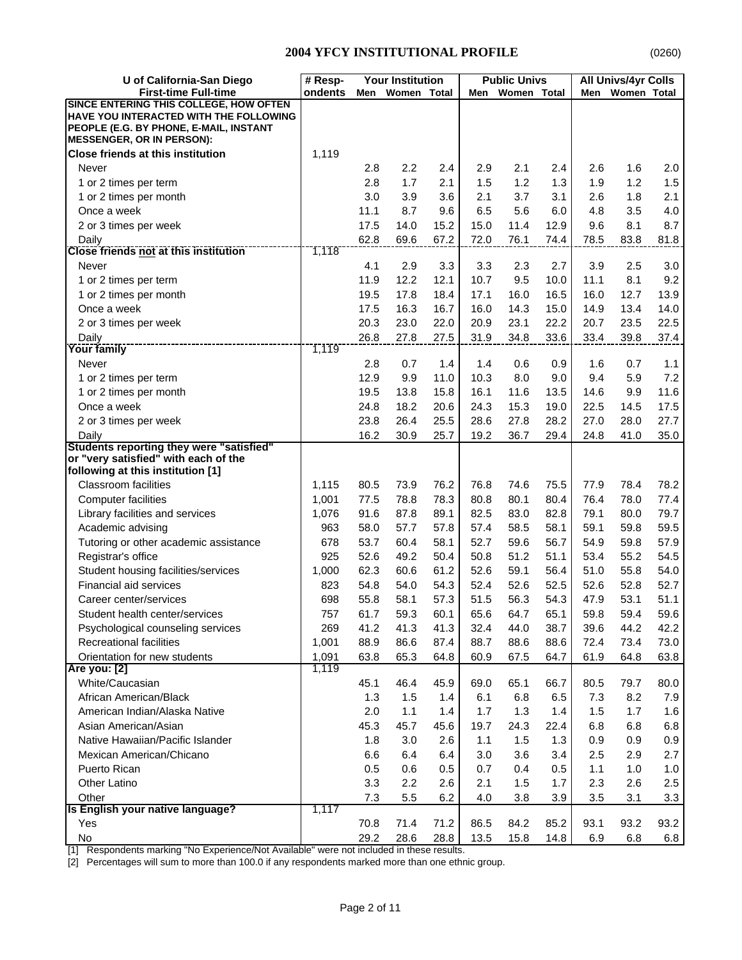| U of California-San Diego                                                                                                                                             | # Resp-        |      | <b>Your Institution</b> |      |      | <b>Public Univs</b> |      |      | <b>All Univs/4yr Colls</b> |         |
|-----------------------------------------------------------------------------------------------------------------------------------------------------------------------|----------------|------|-------------------------|------|------|---------------------|------|------|----------------------------|---------|
| <b>First-time Full-time</b>                                                                                                                                           | ondents        | Men  | Women Total             |      | Men  | Women Total         |      | Men  | <b>Women Total</b>         |         |
| <b>SINCE ENTERING THIS COLLEGE, HOW OFTEN</b><br>HAVE YOU INTERACTED WITH THE FOLLOWING<br>PEOPLE (E.G. BY PHONE, E-MAIL, INSTANT<br><b>MESSENGER, OR IN PERSON):</b> |                |      |                         |      |      |                     |      |      |                            |         |
| <b>Close friends at this institution</b>                                                                                                                              | 1,119          |      |                         |      |      |                     |      |      |                            |         |
| Never                                                                                                                                                                 |                | 2.8  | 2.2                     | 2.4  | 2.9  | 2.1                 | 2.4  | 2.6  | 1.6                        | 2.0     |
| 1 or 2 times per term                                                                                                                                                 |                | 2.8  | 1.7                     | 2.1  | 1.5  | 1.2                 | 1.3  | 1.9  | 1.2                        | 1.5     |
| 1 or 2 times per month                                                                                                                                                |                | 3.0  | 3.9                     | 3.6  | 2.1  | 3.7                 | 3.1  | 2.6  | 1.8                        | 2.1     |
| Once a week                                                                                                                                                           |                | 11.1 | 8.7                     | 9.6  | 6.5  | 5.6                 | 6.0  | 4.8  | 3.5                        | 4.0     |
| 2 or 3 times per week                                                                                                                                                 |                | 17.5 | 14.0                    | 15.2 | 15.0 | 11.4                | 12.9 | 9.6  | 8.1                        | 8.7     |
| Daily                                                                                                                                                                 |                | 62.8 | 69.6                    | 67.2 | 72.0 | 76.1                | 74.4 | 78.5 | 83.8                       | 81.8    |
| <b>Close friends not at this institution</b>                                                                                                                          | 1,118          |      |                         |      |      |                     |      |      |                            |         |
| Never                                                                                                                                                                 |                | 4.1  | 2.9                     | 3.3  | 3.3  | 2.3                 | 2.7  | 3.9  | 2.5                        | $3.0\,$ |
| 1 or 2 times per term                                                                                                                                                 |                | 11.9 | 12.2                    | 12.1 | 10.7 | 9.5                 | 10.0 | 11.1 | 8.1                        | 9.2     |
| 1 or 2 times per month                                                                                                                                                |                | 19.5 | 17.8                    | 18.4 | 17.1 | 16.0                | 16.5 | 16.0 | 12.7                       | 13.9    |
| Once a week                                                                                                                                                           |                | 17.5 | 16.3                    | 16.7 | 16.0 | 14.3                | 15.0 | 14.9 | 13.4                       | 14.0    |
| 2 or 3 times per week                                                                                                                                                 |                | 20.3 | 23.0                    | 22.0 | 20.9 | 23.1                | 22.2 | 20.7 | 23.5                       | 22.5    |
| Daily                                                                                                                                                                 |                | 26.8 | 27.8                    | 27.5 | 31.9 | 34.8                | 33.6 | 33.4 | 39.8                       | 37.4    |
| <b>Your family</b>                                                                                                                                                    | 1,119          |      |                         |      |      |                     |      |      |                            |         |
| Never                                                                                                                                                                 |                | 2.8  | 0.7                     | 1.4  | 1.4  | 0.6                 | 0.9  | 1.6  | 0.7                        | 1.1     |
| 1 or 2 times per term                                                                                                                                                 |                | 12.9 | 9.9                     | 11.0 | 10.3 | 8.0                 | 9.0  | 9.4  | 5.9                        | 7.2     |
| 1 or 2 times per month                                                                                                                                                |                | 19.5 | 13.8                    | 15.8 | 16.1 | 11.6                | 13.5 | 14.6 | 9.9                        | 11.6    |
| Once a week                                                                                                                                                           |                | 24.8 | 18.2                    | 20.6 | 24.3 | 15.3                | 19.0 | 22.5 | 14.5                       | 17.5    |
| 2 or 3 times per week                                                                                                                                                 |                | 23.8 | 26.4                    | 25.5 | 28.6 | 27.8                | 28.2 | 27.0 | 28.0                       | 27.7    |
| Daily<br>Students reporting they were "satisfied"                                                                                                                     |                | 16.2 | 30.9                    | 25.7 | 19.2 | 36.7                | 29.4 | 24.8 | 41.0                       | 35.0    |
| or "very satisfied" with each of the                                                                                                                                  |                |      |                         |      |      |                     |      |      |                            |         |
| following at this institution [1]                                                                                                                                     |                |      |                         |      |      |                     |      |      |                            |         |
| <b>Classroom facilities</b>                                                                                                                                           | 1,115          | 80.5 | 73.9                    | 76.2 | 76.8 | 74.6                | 75.5 | 77.9 | 78.4                       | 78.2    |
| <b>Computer facilities</b>                                                                                                                                            | 1,001          | 77.5 | 78.8                    | 78.3 | 80.8 | 80.1                | 80.4 | 76.4 | 78.0                       | 77.4    |
| Library facilities and services                                                                                                                                       | 1,076          | 91.6 | 87.8                    | 89.1 | 82.5 | 83.0                | 82.8 | 79.1 | 80.0                       | 79.7    |
| Academic advising                                                                                                                                                     | 963            | 58.0 | 57.7                    | 57.8 | 57.4 | 58.5                | 58.1 | 59.1 | 59.8                       | 59.5    |
| Tutoring or other academic assistance                                                                                                                                 | 678            | 53.7 | 60.4                    | 58.1 | 52.7 | 59.6                | 56.7 | 54.9 | 59.8                       | 57.9    |
| Registrar's office                                                                                                                                                    | 925            | 52.6 | 49.2                    | 50.4 | 50.8 | 51.2                | 51.1 | 53.4 | 55.2                       | 54.5    |
| Student housing facilities/services                                                                                                                                   | 1,000          | 62.3 | 60.6                    | 61.2 | 52.6 | 59.1                | 56.4 | 51.0 | 55.8                       | 54.0    |
| Financial aid services                                                                                                                                                | 823            | 54.8 | 54.0                    | 54.3 | 52.4 | 52.6                | 52.5 | 52.6 | 52.8                       | 52.7    |
| Career center/services                                                                                                                                                | 698            | 55.8 | 58.1                    | 57.3 | 51.5 | 56.3                | 54.3 | 47.9 | 53.1                       | 51.1    |
| Student health center/services                                                                                                                                        | 757            | 61.7 | 59.3                    | 60.1 | 65.6 | 64.7                | 65.1 | 59.8 | 59.4                       | 59.6    |
| Psychological counseling services                                                                                                                                     | 269            | 41.2 | 41.3                    | 41.3 | 32.4 | 44.0                | 38.7 | 39.6 | 44.2                       | 42.2    |
| Recreational facilities                                                                                                                                               | 1,001          | 88.9 | 86.6                    | 87.4 | 88.7 | 88.6                | 88.6 | 72.4 | 73.4                       | 73.0    |
| Orientation for new students                                                                                                                                          | 1,091<br>1,119 | 63.8 | 65.3                    | 64.8 | 60.9 | 67.5                | 64.7 | 61.9 | 64.8                       | 63.8    |
| <b>Are you: [2]</b><br>White/Caucasian                                                                                                                                |                | 45.1 | 46.4                    | 45.9 | 69.0 | 65.1                | 66.7 | 80.5 | 79.7                       | 80.0    |
| African American/Black                                                                                                                                                |                | 1.3  | 1.5                     | 1.4  | 6.1  | 6.8                 | 6.5  | 7.3  | 8.2                        | 7.9     |
| American Indian/Alaska Native                                                                                                                                         |                | 2.0  | 1.1                     | 1.4  | 1.7  | 1.3                 | 1.4  | 1.5  | 1.7                        | 1.6     |
| Asian American/Asian                                                                                                                                                  |                | 45.3 | 45.7                    | 45.6 | 19.7 | 24.3                | 22.4 | 6.8  | 6.8                        | 6.8     |
| Native Hawaiian/Pacific Islander                                                                                                                                      |                | 1.8  | 3.0                     | 2.6  | 1.1  | 1.5                 | 1.3  | 0.9  | 0.9                        | 0.9     |
| Mexican American/Chicano                                                                                                                                              |                | 6.6  | 6.4                     | 6.4  | 3.0  | 3.6                 | 3.4  | 2.5  | 2.9                        | 2.7     |
| Puerto Rican                                                                                                                                                          |                | 0.5  | 0.6                     | 0.5  | 0.7  | 0.4                 | 0.5  | 1.1  | 1.0                        | $1.0$   |
| Other Latino                                                                                                                                                          |                | 3.3  | 2.2                     | 2.6  | 2.1  | 1.5                 | 1.7  | 2.3  | 2.6                        | 2.5     |
| Other                                                                                                                                                                 |                | 7.3  | 5.5                     | 6.2  | 4.0  | 3.8                 | 3.9  | 3.5  | 3.1                        | 3.3     |
| Is English your native language?                                                                                                                                      | 1,117          |      |                         |      |      |                     |      |      |                            |         |
| Yes                                                                                                                                                                   |                | 70.8 | 71.4                    | 71.2 | 86.5 | 84.2                | 85.2 | 93.1 | 93.2                       | 93.2    |
| No                                                                                                                                                                    |                | 29.2 | 28.6                    | 28.8 | 13.5 | 15.8                | 14.8 | 6.9  | 6.8                        | 6.8     |

[1] Respondents marking "No Experience/Not Available" were not included in these results.

[2] Percentages will sum to more than 100.0 if any respondents marked more than one ethnic group.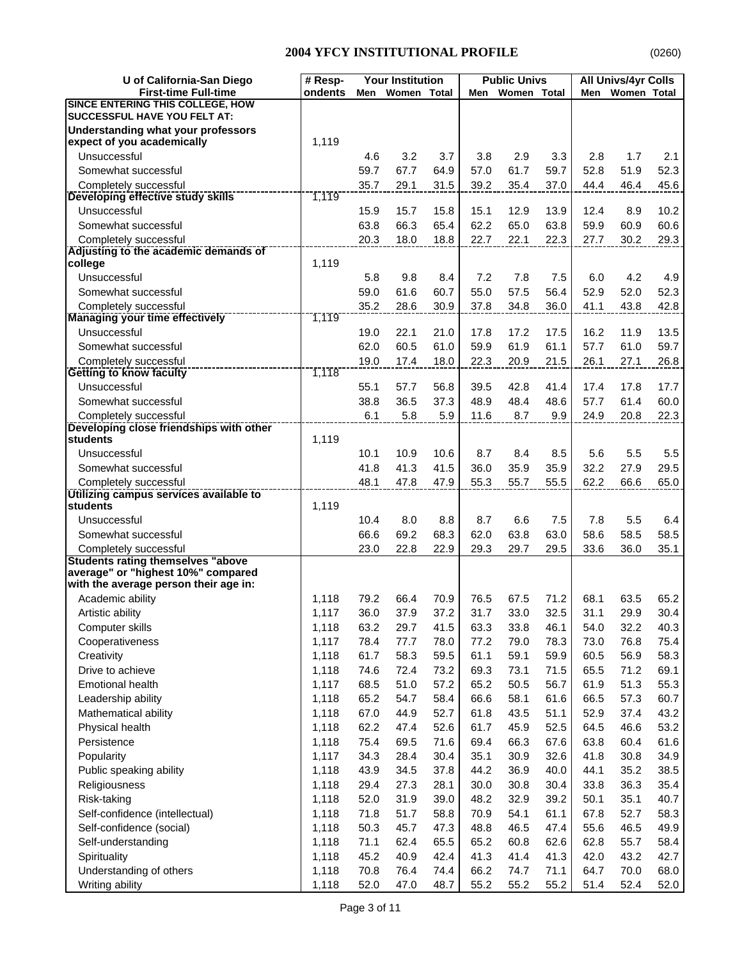| U of California-San Diego                                                      | # Resp- |      | <b>Your Institution</b> |      |      | <b>Public Univs</b> |      |      | <b>All Univs/4yr Colls</b> |      |
|--------------------------------------------------------------------------------|---------|------|-------------------------|------|------|---------------------|------|------|----------------------------|------|
| <b>First-time Full-time</b>                                                    | ondents | Men  | Women Total             |      | Men  | Women Total         |      | Men  | Women Total                |      |
| <b>SINCE ENTERING THIS COLLEGE, HOW</b><br><b>SUCCESSFUL HAVE YOU FELT AT:</b> |         |      |                         |      |      |                     |      |      |                            |      |
| <b>Understanding what your professors</b>                                      |         |      |                         |      |      |                     |      |      |                            |      |
| expect of you academically                                                     | 1,119   |      |                         |      |      |                     |      |      |                            |      |
| Unsuccessful                                                                   |         | 4.6  | 3.2                     | 3.7  | 3.8  | 2.9                 | 3.3  | 2.8  | 1.7                        | 2.1  |
| Somewhat successful                                                            |         | 59.7 | 67.7                    | 64.9 | 57.0 | 61.7                | 59.7 | 52.8 | 51.9                       | 52.3 |
| Completely successful                                                          |         | 35.7 | 29.1                    | 31.5 | 39.2 | 35.4                | 37.0 | 44.4 | 46.4                       | 45.6 |
| Developing effective study skills                                              | 1,119   |      |                         |      |      |                     |      |      |                            |      |
| Unsuccessful                                                                   |         | 15.9 | 15.7                    | 15.8 | 15.1 | 12.9                | 13.9 | 12.4 | 8.9                        | 10.2 |
| Somewhat successful                                                            |         | 63.8 | 66.3                    | 65.4 | 62.2 | 65.0                | 63.8 | 59.9 | 60.9                       | 60.6 |
| Completely successful                                                          |         | 20.3 | 18.0                    | 18.8 | 22.7 | 22.1                | 22.3 | 27.7 | 30.2                       | 29.3 |
| Adjusting to the academic demands of<br>college                                | 1,119   |      |                         |      |      |                     |      |      |                            |      |
| Unsuccessful                                                                   |         | 5.8  | 9.8                     | 8.4  | 7.2  | 7.8                 | 7.5  | 6.0  | 4.2                        | 4.9  |
| Somewhat successful                                                            |         | 59.0 | 61.6                    | 60.7 | 55.0 | 57.5                | 56.4 | 52.9 | 52.0                       | 52.3 |
| Completely successful                                                          |         | 35.2 | 28.6                    | 30.9 | 37.8 | 34.8                | 36.0 | 41.1 | 43.8                       | 42.8 |
| <b>Managing your time effectively</b>                                          | 1,119   |      |                         |      |      |                     |      |      |                            |      |
| Unsuccessful                                                                   |         | 19.0 | 22.1                    | 21.0 | 17.8 | 17.2                | 17.5 | 16.2 | 11.9                       | 13.5 |
| Somewhat successful                                                            |         | 62.0 | 60.5                    | 61.0 | 59.9 | 61.9                | 61.1 | 57.7 | 61.0                       | 59.7 |
| Completely successful                                                          |         | 19.0 | 17.4                    | 18.0 | 22.3 | 20.9                | 21.5 | 26.1 | 27.1                       | 26.8 |
| <b>Getting to know faculty</b>                                                 | 1,118   |      |                         |      |      |                     |      |      |                            |      |
| Unsuccessful                                                                   |         | 55.1 | 57.7                    | 56.8 | 39.5 | 42.8                | 41.4 | 17.4 | 17.8                       | 17.7 |
| Somewhat successful                                                            |         | 38.8 | 36.5                    | 37.3 | 48.9 | 48.4                | 48.6 | 57.7 | 61.4                       | 60.0 |
| Completely successful                                                          |         | 6.1  | 5.8                     | 5.9  | 11.6 | 8.7                 | 9.9  | 24.9 | 20.8                       | 22.3 |
| Developing close friendships with other                                        |         |      |                         |      |      |                     |      |      |                            |      |
| <b>students</b>                                                                | 1,119   |      |                         |      |      |                     |      |      |                            |      |
| Unsuccessful                                                                   |         | 10.1 | 10.9                    | 10.6 | 8.7  | 8.4                 | 8.5  | 5.6  | 5.5                        | 5.5  |
| Somewhat successful                                                            |         | 41.8 | 41.3                    | 41.5 | 36.0 | 35.9                | 35.9 | 32.2 | 27.9                       | 29.5 |
| Completely successful                                                          |         | 48.1 | 47.8                    | 47.9 | 55.3 | 55.7                | 55.5 | 62.2 | 66.6                       | 65.0 |
| Utilizing campus services available to<br>students                             | 1,119   |      |                         |      |      |                     |      |      |                            |      |
| Unsuccessful                                                                   |         | 10.4 | 8.0                     | 8.8  | 8.7  | 6.6                 | 7.5  | 7.8  | 5.5                        | 6.4  |
| Somewhat successful                                                            |         | 66.6 | 69.2                    | 68.3 | 62.0 | 63.8                | 63.0 | 58.6 | 58.5                       | 58.5 |
|                                                                                |         | 23.0 | 22.8                    | 22.9 | 29.3 | 29.7                | 29.5 | 33.6 | 36.0                       | 35.1 |
| Completely successful<br><b>Students rating themselves "above</b>              |         |      |                         |      |      |                     |      |      |                            |      |
| average" or "highest 10%" compared                                             |         |      |                         |      |      |                     |      |      |                            |      |
| with the average person their age in:                                          |         |      |                         |      |      |                     |      |      |                            |      |
| Academic ability                                                               | 1,118   | 79.2 | 66.4                    | 70.9 | 76.5 | 67.5                | 71.2 | 68.1 | 63.5                       | 65.2 |
| Artistic ability                                                               | 1,117   | 36.0 | 37.9                    | 37.2 | 31.7 | 33.0                | 32.5 | 31.1 | 29.9                       | 30.4 |
| Computer skills                                                                | 1,118   | 63.2 | 29.7                    | 41.5 | 63.3 | 33.8                | 46.1 | 54.0 | 32.2                       | 40.3 |
| Cooperativeness                                                                | 1,117   | 78.4 | 77.7                    | 78.0 | 77.2 | 79.0                | 78.3 | 73.0 | 76.8                       | 75.4 |
| Creativity                                                                     | 1,118   | 61.7 | 58.3                    | 59.5 | 61.1 | 59.1                | 59.9 | 60.5 | 56.9                       | 58.3 |
| Drive to achieve                                                               | 1,118   | 74.6 | 72.4                    | 73.2 | 69.3 | 73.1                | 71.5 | 65.5 | 71.2                       | 69.1 |
| <b>Emotional health</b>                                                        | 1,117   | 68.5 | 51.0                    | 57.2 | 65.2 | 50.5                | 56.7 | 61.9 | 51.3                       | 55.3 |
| Leadership ability                                                             | 1,118   | 65.2 | 54.7                    | 58.4 | 66.6 | 58.1                | 61.6 | 66.5 | 57.3                       | 60.7 |
| Mathematical ability                                                           | 1,118   | 67.0 | 44.9                    | 52.7 | 61.8 | 43.5                | 51.1 | 52.9 | 37.4                       | 43.2 |
| Physical health                                                                | 1,118   | 62.2 | 47.4                    | 52.6 | 61.7 | 45.9                | 52.5 | 64.5 | 46.6                       | 53.2 |
| Persistence                                                                    | 1,118   | 75.4 | 69.5                    | 71.6 | 69.4 | 66.3                | 67.6 | 63.8 | 60.4                       | 61.6 |
| Popularity                                                                     | 1,117   | 34.3 | 28.4                    | 30.4 | 35.1 | 30.9                | 32.6 | 41.8 | 30.8                       | 34.9 |
| Public speaking ability                                                        | 1,118   | 43.9 | 34.5                    | 37.8 | 44.2 | 36.9                | 40.0 | 44.1 | 35.2                       | 38.5 |
| Religiousness                                                                  | 1,118   | 29.4 | 27.3                    | 28.1 | 30.0 | 30.8                | 30.4 | 33.8 | 36.3                       | 35.4 |
| Risk-taking                                                                    | 1,118   | 52.0 | 31.9                    | 39.0 | 48.2 | 32.9                | 39.2 | 50.1 | 35.1                       | 40.7 |
| Self-confidence (intellectual)                                                 | 1,118   | 71.8 | 51.7                    | 58.8 | 70.9 | 54.1                | 61.1 | 67.8 | 52.7                       | 58.3 |
| Self-confidence (social)                                                       | 1,118   | 50.3 | 45.7                    | 47.3 | 48.8 | 46.5                | 47.4 | 55.6 | 46.5                       | 49.9 |
| Self-understanding                                                             | 1,118   | 71.1 | 62.4                    | 65.5 | 65.2 | 60.8                | 62.6 | 62.8 | 55.7                       | 58.4 |
| Spirituality                                                                   | 1,118   | 45.2 | 40.9                    | 42.4 | 41.3 | 41.4                | 41.3 | 42.0 | 43.2                       | 42.7 |
| Understanding of others                                                        | 1,118   | 70.8 | 76.4                    | 74.4 | 66.2 | 74.7                | 71.1 | 64.7 | 70.0                       | 68.0 |
| Writing ability                                                                | 1,118   | 52.0 | 47.0                    | 48.7 | 55.2 | 55.2                | 55.2 | 51.4 | 52.4                       | 52.0 |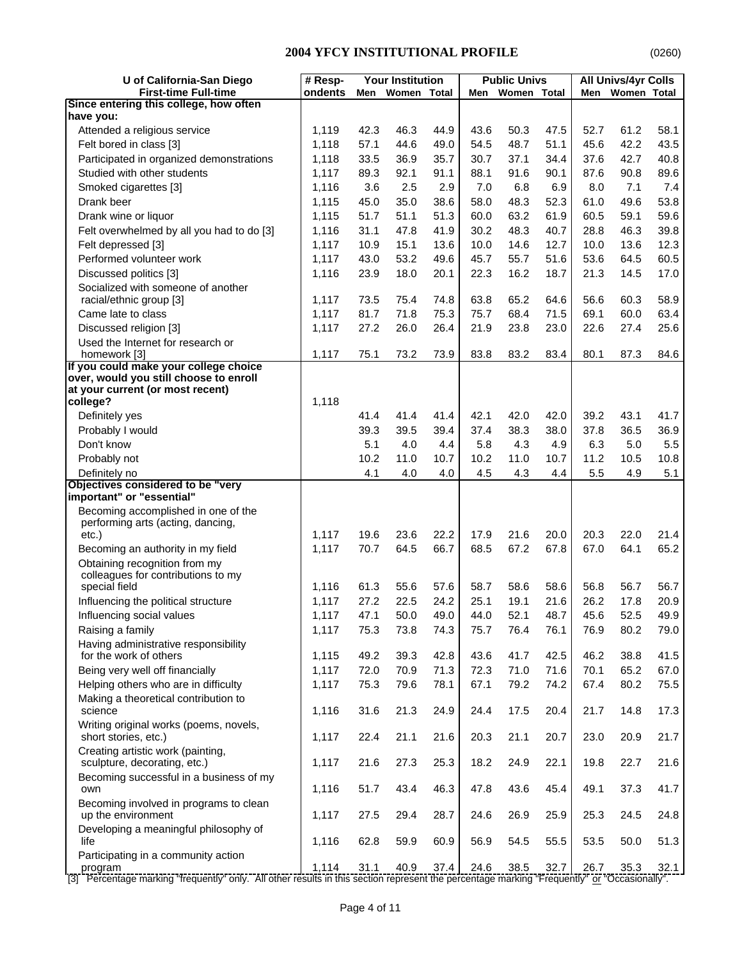| U of California-San Diego                                      | # Resp- |      | <b>Your Institution</b> |      |      | <b>Public Univs</b> |      |      | <b>All Univs/4yr Colls</b> |      |
|----------------------------------------------------------------|---------|------|-------------------------|------|------|---------------------|------|------|----------------------------|------|
| <b>First-time Full-time</b>                                    | ondents | Men  | Women Total             |      | Men  | Women Total         |      | Men  | Women Total                |      |
| Since entering this college, how often<br>have you:            |         |      |                         |      |      |                     |      |      |                            |      |
| Attended a religious service                                   | 1,119   | 42.3 | 46.3                    | 44.9 | 43.6 | 50.3                | 47.5 | 52.7 | 61.2                       | 58.1 |
| Felt bored in class [3]                                        | 1,118   | 57.1 | 44.6                    | 49.0 | 54.5 | 48.7                | 51.1 | 45.6 | 42.2                       | 43.5 |
| Participated in organized demonstrations                       | 1,118   | 33.5 | 36.9                    | 35.7 | 30.7 | 37.1                | 34.4 | 37.6 | 42.7                       | 40.8 |
| Studied with other students                                    | 1,117   | 89.3 | 92.1                    | 91.1 | 88.1 | 91.6                | 90.1 | 87.6 | 90.8                       | 89.6 |
| Smoked cigarettes [3]                                          | 1,116   | 3.6  | 2.5                     | 2.9  | 7.0  | 6.8                 | 6.9  | 8.0  | 7.1                        | 7.4  |
| Drank beer                                                     | 1,115   | 45.0 | 35.0                    | 38.6 | 58.0 | 48.3                | 52.3 | 61.0 | 49.6                       | 53.8 |
| Drank wine or liquor                                           | 1,115   | 51.7 | 51.1                    | 51.3 | 60.0 | 63.2                | 61.9 | 60.5 | 59.1                       | 59.6 |
| Felt overwhelmed by all you had to do [3]                      | 1,116   | 31.1 | 47.8                    | 41.9 | 30.2 | 48.3                | 40.7 | 28.8 | 46.3                       | 39.8 |
| Felt depressed [3]                                             | 1,117   | 10.9 | 15.1                    | 13.6 | 10.0 | 14.6                | 12.7 | 10.0 | 13.6                       | 12.3 |
| Performed volunteer work                                       | 1,117   | 43.0 | 53.2                    | 49.6 | 45.7 | 55.7                | 51.6 | 53.6 | 64.5                       | 60.5 |
| Discussed politics [3]                                         | 1,116   | 23.9 | 18.0                    | 20.1 | 22.3 | 16.2                | 18.7 | 21.3 | 14.5                       | 17.0 |
| Socialized with someone of another                             |         |      |                         |      |      |                     |      |      |                            |      |
| racial/ethnic group [3]                                        | 1,117   | 73.5 | 75.4                    | 74.8 | 63.8 | 65.2                | 64.6 | 56.6 | 60.3                       | 58.9 |
| Came late to class                                             | 1,117   | 81.7 | 71.8                    | 75.3 | 75.7 | 68.4                | 71.5 | 69.1 | 60.0                       | 63.4 |
| Discussed religion [3]                                         | 1,117   | 27.2 | 26.0                    | 26.4 | 21.9 | 23.8                | 23.0 | 22.6 | 27.4                       | 25.6 |
| Used the Internet for research or                              |         |      |                         |      |      |                     |      |      |                            |      |
| homework [3]<br>If you could make your college choice          | 1,117   | 75.1 | 73.2                    | 73.9 | 83.8 | 83.2                | 83.4 | 80.1 | 87.3                       | 84.6 |
| over, would you still choose to enroll                         |         |      |                         |      |      |                     |      |      |                            |      |
| at your current (or most recent)                               |         |      |                         |      |      |                     |      |      |                            |      |
| college?                                                       | 1,118   |      |                         |      |      |                     |      |      |                            |      |
| Definitely yes                                                 |         | 41.4 | 41.4                    | 41.4 | 42.1 | 42.0                | 42.0 | 39.2 | 43.1                       | 41.7 |
| Probably I would                                               |         | 39.3 | 39.5                    | 39.4 | 37.4 | 38.3                | 38.0 | 37.8 | 36.5                       | 36.9 |
| Don't know                                                     |         | 5.1  | 4.0                     | 4.4  | 5.8  | 4.3                 | 4.9  | 6.3  | 5.0                        | 5.5  |
| Probably not                                                   |         | 10.2 | 11.0                    | 10.7 | 10.2 | 11.0                | 10.7 | 11.2 | 10.5                       | 10.8 |
| Definitely no<br>Objectives considered to be "very             |         | 4.1  | 4.0                     | 4.0  | 4.5  | 4.3                 | 4.4  | 5.5  | 4.9                        | 5.1  |
| important" or "essential"                                      |         |      |                         |      |      |                     |      |      |                            |      |
| Becoming accomplished in one of the                            |         |      |                         |      |      |                     |      |      |                            |      |
| performing arts (acting, dancing,                              |         |      |                         |      |      |                     |      |      |                            |      |
| etc.)                                                          | 1,117   | 19.6 | 23.6                    | 22.2 | 17.9 | 21.6                | 20.0 | 20.3 | 22.0                       | 21.4 |
| Becoming an authority in my field                              | 1,117   | 70.7 | 64.5                    | 66.7 | 68.5 | 67.2                | 67.8 | 67.0 | 64.1                       | 65.2 |
| Obtaining recognition from my                                  |         |      |                         |      |      |                     |      |      |                            |      |
| colleagues for contributions to my<br>special field            | 1,116   | 61.3 | 55.6                    | 57.6 | 58.7 | 58.6                | 58.6 | 56.8 | 56.7                       | 56.7 |
| Influencing the political structure                            | 1,117   | 27.2 | 22.5                    | 24.2 | 25.1 | 19.1                | 21.6 | 26.2 | 17.8                       | 20.9 |
| Influencing social values                                      | 1,117   | 47.1 | 50.0                    | 49.0 | 44.0 | 52.1                | 48.7 | 45.6 | 52.5                       | 49.9 |
| Raising a family                                               | 1,117   | 75.3 | 73.8                    | 74.3 | 75.7 | 76.4                | 76.1 | 76.9 | 80.2                       | 79.0 |
| Having administrative responsibility                           |         |      |                         |      |      |                     |      |      |                            |      |
| for the work of others                                         | 1,115   | 49.2 | 39.3                    | 42.8 | 43.6 | 41.7                | 42.5 | 46.2 | 38.8                       | 41.5 |
| Being very well off financially                                | 1,117   | 72.0 | 70.9                    | 71.3 | 72.3 | 71.0                | 71.6 | 70.1 | 65.2                       | 67.0 |
| Helping others who are in difficulty                           | 1,117   | 75.3 | 79.6                    | 78.1 | 67.1 | 79.2                | 74.2 | 67.4 | 80.2                       | 75.5 |
| Making a theoretical contribution to                           |         |      |                         |      |      |                     |      |      |                            |      |
| science                                                        | 1,116   | 31.6 | 21.3                    | 24.9 | 24.4 | 17.5                | 20.4 | 21.7 | 14.8                       | 17.3 |
| Writing original works (poems, novels,<br>short stories, etc.) |         |      | 21.1                    |      | 20.3 |                     | 20.7 | 23.0 | 20.9                       | 21.7 |
| Creating artistic work (painting,                              | 1,117   | 22.4 |                         | 21.6 |      | 21.1                |      |      |                            |      |
| sculpture, decorating, etc.)                                   | 1,117   | 21.6 | 27.3                    | 25.3 | 18.2 | 24.9                | 22.1 | 19.8 | 22.7                       | 21.6 |
| Becoming successful in a business of my                        |         |      |                         |      |      |                     |      |      |                            |      |
| own                                                            | 1,116   | 51.7 | 43.4                    | 46.3 | 47.8 | 43.6                | 45.4 | 49.1 | 37.3                       | 41.7 |
| Becoming involved in programs to clean                         |         |      |                         |      |      |                     |      |      |                            |      |
| up the environment                                             | 1,117   | 27.5 | 29.4                    | 28.7 | 24.6 | 26.9                | 25.9 | 25.3 | 24.5                       | 24.8 |
| Developing a meaningful philosophy of                          |         |      |                         |      |      |                     |      |      |                            |      |
| life                                                           | 1,116   | 62.8 | 59.9                    | 60.9 | 56.9 | 54.5                | 55.5 | 53.5 | 50.0                       | 51.3 |
| Participating in a community action<br>program                 | 1,114   | 31.1 | 40.9                    | 37.4 | 24.6 | 38.5                | 32.7 | 26.7 | 35.3                       | 32.1 |

[3] Percentage marking "frequently" only. All other results in this section represent the percentage marking "Frequently" or "Occasionally".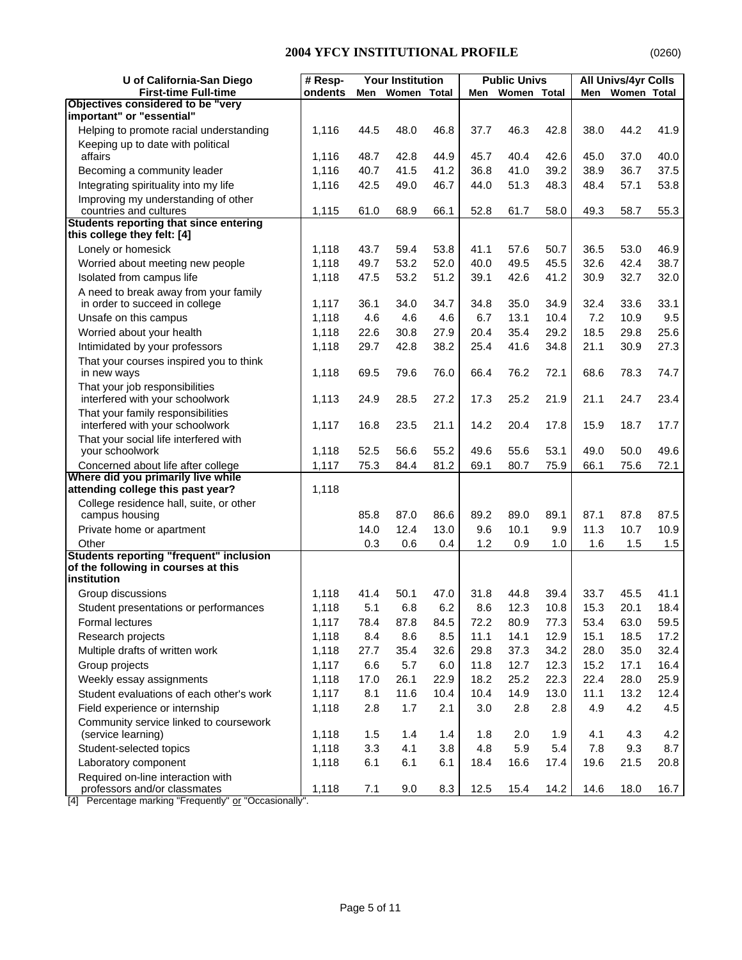| U of California-San Diego                                               | # Resp- |      | <b>Your Institution</b> |       |      | <b>Public Univs</b> |      |              | <b>All Univs/4yr Colls</b> |              |
|-------------------------------------------------------------------------|---------|------|-------------------------|-------|------|---------------------|------|--------------|----------------------------|--------------|
| <b>First-time Full-time</b>                                             | ondents | Men  | Women                   | Total | Men  | Women Total         |      | Men          | Women Total                |              |
| Objectives considered to be "very<br>important" or "essential"          |         |      |                         |       |      |                     |      |              |                            |              |
| Helping to promote racial understanding                                 | 1,116   | 44.5 | 48.0                    | 46.8  | 37.7 | 46.3                | 42.8 | 38.0         | 44.2                       | 41.9         |
| Keeping up to date with political                                       |         |      |                         |       |      |                     |      |              |                            |              |
| affairs                                                                 | 1.116   | 48.7 | 42.8                    | 44.9  | 45.7 | 40.4                | 42.6 | 45.0         | 37.0                       | 40.0         |
| Becoming a community leader                                             | 1,116   | 40.7 | 41.5                    | 41.2  | 36.8 | 41.0                | 39.2 | 38.9         | 36.7                       | 37.5         |
| Integrating spirituality into my life                                   | 1,116   | 42.5 | 49.0                    | 46.7  | 44.0 | 51.3                | 48.3 | 48.4         | 57.1                       | 53.8         |
| Improving my understanding of other<br>countries and cultures           | 1,115   | 61.0 | 68.9                    | 66.1  | 52.8 | 61.7                | 58.0 | 49.3         | 58.7                       | 55.3         |
| Students reporting that since entering                                  |         |      |                         |       |      |                     |      |              |                            |              |
| this college they felt: [4]                                             |         |      |                         |       |      |                     |      |              |                            |              |
| Lonely or homesick                                                      | 1,118   | 43.7 | 59.4                    | 53.8  | 41.1 | 57.6                | 50.7 | 36.5         | 53.0                       | 46.9         |
| Worried about meeting new people                                        | 1,118   | 49.7 | 53.2                    | 52.0  | 40.0 | 49.5                | 45.5 | 32.6         | 42.4                       | 38.7         |
| Isolated from campus life                                               | 1,118   | 47.5 | 53.2                    | 51.2  | 39.1 | 42.6                | 41.2 | 30.9         | 32.7                       | 32.0         |
| A need to break away from your family<br>in order to succeed in college | 1,117   | 36.1 | 34.0                    | 34.7  | 34.8 | 35.0                | 34.9 | 32.4         | 33.6                       | 33.1         |
| Unsafe on this campus                                                   | 1,118   | 4.6  | 4.6                     | 4.6   | 6.7  | 13.1                | 10.4 | 7.2          | 10.9                       | 9.5          |
| Worried about your health                                               | 1,118   | 22.6 | 30.8                    | 27.9  | 20.4 | 35.4                | 29.2 | 18.5         | 29.8                       | 25.6         |
| Intimidated by your professors                                          | 1,118   | 29.7 | 42.8                    | 38.2  | 25.4 | 41.6                | 34.8 | 21.1         | 30.9                       | 27.3         |
| That your courses inspired you to think                                 |         |      |                         |       |      |                     |      |              |                            |              |
| in new ways                                                             | 1,118   | 69.5 | 79.6                    | 76.0  | 66.4 | 76.2                | 72.1 | 68.6         | 78.3                       | 74.7         |
| That your job responsibilities<br>interfered with your schoolwork       | 1,113   | 24.9 | 28.5                    | 27.2  | 17.3 | 25.2                | 21.9 | 21.1         | 24.7                       | 23.4         |
| That your family responsibilities<br>interfered with your schoolwork    | 1,117   | 16.8 | 23.5                    | 21.1  | 14.2 | 20.4                | 17.8 | 15.9         | 18.7                       | 17.7         |
| That your social life interfered with                                   |         |      |                         |       |      |                     |      |              |                            |              |
| your schoolwork                                                         | 1,118   | 52.5 | 56.6                    | 55.2  | 49.6 | 55.6                | 53.1 | 49.0         | 50.0                       | 49.6         |
| Concerned about life after college                                      | 1,117   | 75.3 | 84.4                    | 81.2  | 69.1 | 80.7                | 75.9 | 66.1         | 75.6                       | 72.1         |
| Where did you primarily live while<br>attending college this past year? | 1,118   |      |                         |       |      |                     |      |              |                            |              |
| College residence hall, suite, or other<br>campus housing               |         | 85.8 | 87.0                    | 86.6  | 89.2 | 89.0                | 89.1 | 87.1         | 87.8                       | 87.5         |
| Private home or apartment                                               |         | 14.0 | 12.4                    | 13.0  | 9.6  | 10.1                | 9.9  | 11.3         | 10.7                       | 10.9         |
| Other                                                                   |         | 0.3  | 0.6                     | 0.4   | 1.2  | 0.9                 | 1.0  | 1.6          | 1.5                        | 1.5          |
| <b>Students reporting "frequent" inclusion</b>                          |         |      |                         |       |      |                     |      |              |                            |              |
| of the following in courses at this                                     |         |      |                         |       |      |                     |      |              |                            |              |
| institution                                                             |         |      |                         |       |      |                     |      |              |                            |              |
| Group discussions                                                       | 1,118   | 41.4 | 50.1                    | 47.0  | 31.8 | 44.8                | 39.4 | 33.7         | 45.5                       | 41.1         |
| Student presentations or performances                                   | 1,118   | 5.1  | 6.8                     | 6.2   | 8.6  | 12.3                | 10.8 | 15.3         | 20.1                       | 18.4         |
| Formal lectures<br>Research projects                                    | 1,117   | 78.4 | 87.8                    | 84.5  | 72.2 | 80.9                | 77.3 | 53.4<br>15.1 | 63.0                       | 59.5         |
| Multiple drafts of written work                                         | 1,118   | 8.4  | 8.6                     | 8.5   | 11.1 | 14.1                | 12.9 |              | 18.5                       | 17.2<br>32.4 |
|                                                                         | 1,118   | 27.7 | 35.4                    | 32.6  | 29.8 | 37.3                | 34.2 | 28.0         | 35.0                       |              |
| Group projects                                                          | 1,117   | 6.6  | 5.7                     | 6.0   | 11.8 | 12.7                | 12.3 | 15.2         | 17.1                       | 16.4         |
| Weekly essay assignments                                                | 1,118   | 17.0 | 26.1                    | 22.9  | 18.2 | 25.2                | 22.3 | 22.4         | 28.0                       | 25.9         |
| Student evaluations of each other's work                                | 1,117   | 8.1  | 11.6                    | 10.4  | 10.4 | 14.9                | 13.0 | 11.1         | 13.2                       | 12.4         |
| Field experience or internship                                          | 1,118   | 2.8  | 1.7                     | 2.1   | 3.0  | 2.8                 | 2.8  | 4.9          | 4.2                        | 4.5          |
| Community service linked to coursework<br>(service learning)            | 1,118   | 1.5  | 1.4                     | 1.4   | 1.8  | 2.0                 | 1.9  | 4.1          | 4.3                        | 4.2          |
| Student-selected topics                                                 | 1,118   | 3.3  | 4.1                     | 3.8   | 4.8  | 5.9                 | 5.4  | 7.8          | 9.3                        | 8.7          |
| Laboratory component                                                    | 1,118   | 6.1  | 6.1                     | 6.1   | 18.4 | 16.6                | 17.4 | 19.6         | 21.5                       | 20.8         |
| Required on-line interaction with<br>professors and/or classmates       | 1,118   | 7.1  | 9.0                     | 8.3   | 12.5 | 15.4                | 14.2 | 14.6         | 18.0                       | 16.7         |

[4] Percentage marking "Frequently" or "Occasionally".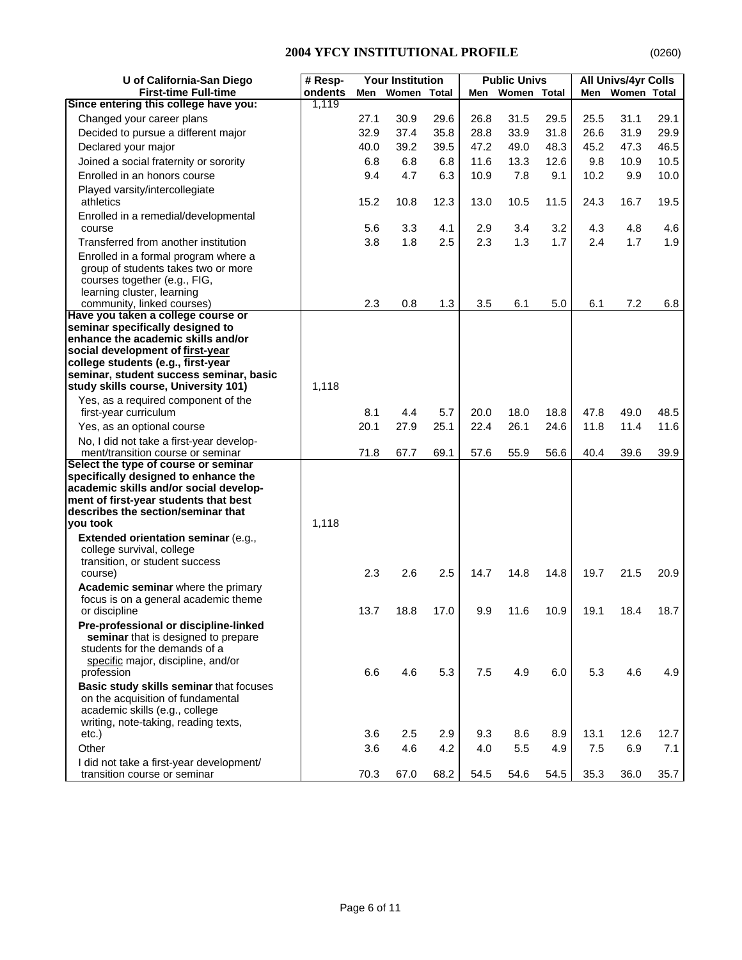| U of California-San Diego                                                                                                                                                                                                                                                 | # Resp- |      | <b>Your Institution</b> |       |      | <b>Public Univs</b> |      |      | <b>All Univs/4yr Colls</b> |      |
|---------------------------------------------------------------------------------------------------------------------------------------------------------------------------------------------------------------------------------------------------------------------------|---------|------|-------------------------|-------|------|---------------------|------|------|----------------------------|------|
| <b>First-time Full-time</b>                                                                                                                                                                                                                                               | ondents | Men  | Women                   | Total | Men  | Women Total         |      | Men  | Women Total                |      |
| Since entering this college have you:                                                                                                                                                                                                                                     | 1,119   |      |                         |       |      |                     |      |      |                            |      |
| Changed your career plans                                                                                                                                                                                                                                                 |         | 27.1 | 30.9                    | 29.6  | 26.8 | 31.5                | 29.5 | 25.5 | 31.1                       | 29.1 |
| Decided to pursue a different major                                                                                                                                                                                                                                       |         | 32.9 | 37.4                    | 35.8  | 28.8 | 33.9                | 31.8 | 26.6 | 31.9                       | 29.9 |
| Declared your major                                                                                                                                                                                                                                                       |         | 40.0 | 39.2                    | 39.5  | 47.2 | 49.0                | 48.3 | 45.2 | 47.3                       | 46.5 |
| Joined a social fraternity or sorority                                                                                                                                                                                                                                    |         | 6.8  | 6.8                     | 6.8   | 11.6 | 13.3                | 12.6 | 9.8  | 10.9                       | 10.5 |
| Enrolled in an honors course                                                                                                                                                                                                                                              |         | 9.4  | 4.7                     | 6.3   | 10.9 | 7.8                 | 9.1  | 10.2 | 9.9                        | 10.0 |
| Played varsity/intercollegiate<br>athletics                                                                                                                                                                                                                               |         | 15.2 | 10.8                    | 12.3  | 13.0 | 10.5                | 11.5 | 24.3 | 16.7                       | 19.5 |
| Enrolled in a remedial/developmental                                                                                                                                                                                                                                      |         |      |                         |       |      |                     |      |      |                            |      |
| course                                                                                                                                                                                                                                                                    |         | 5.6  | 3.3                     | 4.1   | 2.9  | 3.4                 | 3.2  | 4.3  | 4.8                        | 4.6  |
| Transferred from another institution                                                                                                                                                                                                                                      |         | 3.8  | 1.8                     | 2.5   | 2.3  | 1.3                 | 1.7  | 2.4  | 1.7                        | 1.9  |
| Enrolled in a formal program where a<br>group of students takes two or more<br>courses together (e.g., FIG,<br>learning cluster, learning                                                                                                                                 |         |      |                         |       |      |                     |      |      |                            |      |
| community, linked courses)                                                                                                                                                                                                                                                |         | 2.3  | 0.8                     | 1.3   | 3.5  | 6.1                 | 5.0  | 6.1  | 7.2                        | 6.8  |
| Have you taken a college course or<br>seminar specifically designed to<br>enhance the academic skills and/or<br>social development of first-year<br>college students (e.g., first-year<br>seminar, student success seminar, basic<br>study skills course, University 101) | 1,118   |      |                         |       |      |                     |      |      |                            |      |
| Yes, as a required component of the                                                                                                                                                                                                                                       |         |      |                         |       |      |                     |      |      |                            |      |
| first-year curriculum                                                                                                                                                                                                                                                     |         | 8.1  | 4.4                     | 5.7   | 20.0 | 18.0                | 18.8 | 47.8 | 49.0                       | 48.5 |
| Yes, as an optional course                                                                                                                                                                                                                                                |         | 20.1 | 27.9                    | 25.1  | 22.4 | 26.1                | 24.6 | 11.8 | 11.4                       | 11.6 |
| No, I did not take a first-year develop-<br>ment/transition course or seminar                                                                                                                                                                                             |         | 71.8 | 67.7                    | 69.1  | 57.6 | 55.9                | 56.6 | 40.4 | 39.6                       | 39.9 |
| Select the type of course or seminar<br>specifically designed to enhance the<br>academic skills and/or social develop-<br>ment of first-year students that best<br>describes the section/seminar that<br>you took<br>Extended orientation seminar (e.g.,                  | 1,118   |      |                         |       |      |                     |      |      |                            |      |
| college survival, college                                                                                                                                                                                                                                                 |         |      |                         |       |      |                     |      |      |                            |      |
| transition, or student success                                                                                                                                                                                                                                            |         | 2.3  | 2.6                     |       | 14.7 |                     |      | 19.7 |                            | 20.9 |
| course)<br>Academic seminar where the primary                                                                                                                                                                                                                             |         |      |                         | 2.5   |      | 14.8                | 14.8 |      | 21.5                       |      |
| focus is on a general academic theme<br>or discipline                                                                                                                                                                                                                     |         | 13.7 | 18.8                    | 17.0  | 9.9  | 11.6                | 10.9 | 19.1 | 18.4                       | 18.7 |
| Pre-professional or discipline-linked<br>seminar that is designed to prepare<br>students for the demands of a<br>specific major, discipline, and/or<br>profession                                                                                                         |         | 6.6  | 4.6                     | 5.3   | 7.5  | 4.9                 | 6.0  | 5.3  | 4.6                        | 4.9  |
| Basic study skills seminar that focuses<br>on the acquisition of fundamental<br>academic skills (e.g., college<br>writing, note-taking, reading texts,<br>etc.)                                                                                                           |         | 3.6  | 2.5                     | 2.9   | 9.3  | 8.6                 | 8.9  | 13.1 | 12.6                       | 12.7 |
| Other                                                                                                                                                                                                                                                                     |         | 3.6  | 4.6                     | 4.2   | 4.0  | 5.5                 | 4.9  | 7.5  | 6.9                        | 7.1  |
| I did not take a first-year development/<br>transition course or seminar                                                                                                                                                                                                  |         | 70.3 | 67.0                    | 68.2  | 54.5 | 54.6                | 54.5 | 35.3 | 36.0                       | 35.7 |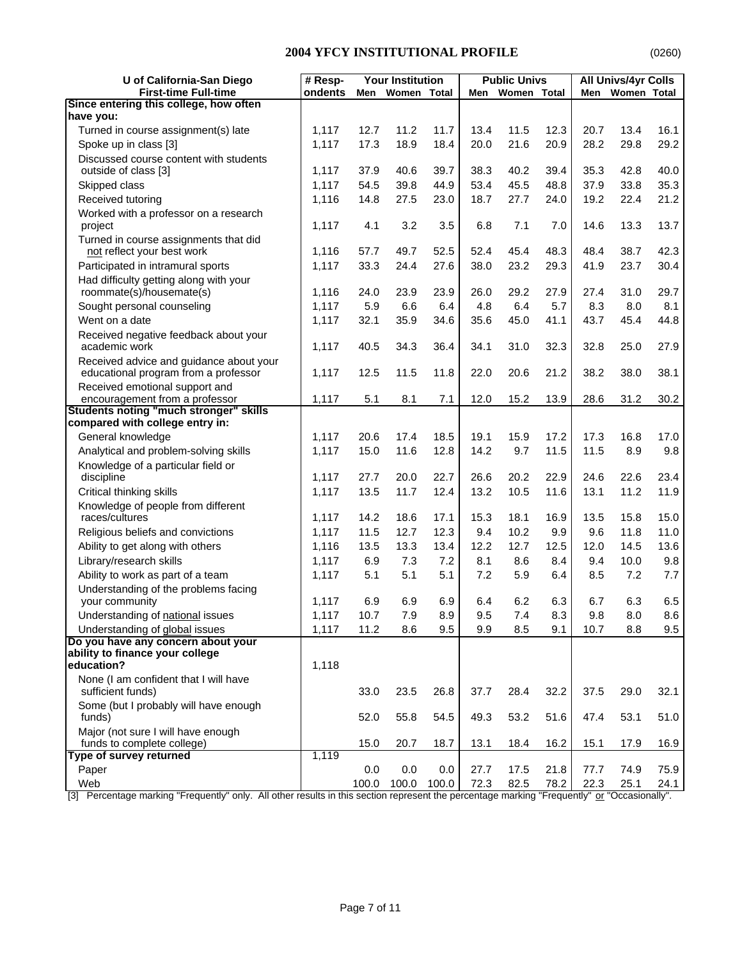| U of California-San Diego                                                                                                                         | # Resp- |       | <b>Your Institution</b> |       |      | <b>Public Univs</b> |      |              | <b>All Univs/4yr Colls</b> |      |
|---------------------------------------------------------------------------------------------------------------------------------------------------|---------|-------|-------------------------|-------|------|---------------------|------|--------------|----------------------------|------|
| <b>First-time Full-time</b>                                                                                                                       | ondents | Men   | Women Total             |       | Men  | Women Total         |      | Men          | Women Total                |      |
| Since entering this college, how often                                                                                                            |         |       |                         |       |      |                     |      |              |                            |      |
| have you:                                                                                                                                         |         |       |                         |       |      |                     |      |              |                            |      |
| Turned in course assignment(s) late                                                                                                               | 1,117   | 12.7  | 11.2                    | 11.7  | 13.4 | 11.5                | 12.3 | 20.7<br>28.2 | 13.4                       | 16.1 |
| Spoke up in class [3]                                                                                                                             | 1,117   | 17.3  | 18.9                    | 18.4  | 20.0 | 21.6                | 20.9 |              | 29.8                       | 29.2 |
| Discussed course content with students<br>outside of class [3]                                                                                    | 1,117   | 37.9  | 40.6                    | 39.7  | 38.3 | 40.2                | 39.4 | 35.3         | 42.8                       | 40.0 |
| Skipped class                                                                                                                                     | 1,117   | 54.5  | 39.8                    | 44.9  | 53.4 | 45.5                | 48.8 | 37.9         | 33.8                       | 35.3 |
| Received tutoring                                                                                                                                 | 1,116   | 14.8  | 27.5                    | 23.0  | 18.7 | 27.7                | 24.0 | 19.2         | 22.4                       | 21.2 |
| Worked with a professor on a research                                                                                                             |         |       |                         |       |      |                     |      |              |                            |      |
| project                                                                                                                                           | 1,117   | 4.1   | 3.2                     | 3.5   | 6.8  | 7.1                 | 7.0  | 14.6         | 13.3                       | 13.7 |
| Turned in course assignments that did                                                                                                             |         |       |                         |       |      |                     |      |              |                            |      |
| not reflect your best work                                                                                                                        | 1,116   | 57.7  | 49.7                    | 52.5  | 52.4 | 45.4                | 48.3 | 48.4         | 38.7                       | 42.3 |
| Participated in intramural sports                                                                                                                 | 1,117   | 33.3  | 24.4                    | 27.6  | 38.0 | 23.2                | 29.3 | 41.9         | 23.7                       | 30.4 |
| Had difficulty getting along with your                                                                                                            |         |       |                         |       |      |                     |      |              |                            |      |
| roommate(s)/housemate(s)                                                                                                                          | 1,116   | 24.0  | 23.9                    | 23.9  | 26.0 | 29.2                | 27.9 | 27.4         | 31.0                       | 29.7 |
| Sought personal counseling                                                                                                                        | 1,117   | 5.9   | 6.6                     | 6.4   | 4.8  | 6.4                 | 5.7  | 8.3          | 8.0                        | 8.1  |
| Went on a date                                                                                                                                    | 1,117   | 32.1  | 35.9                    | 34.6  | 35.6 | 45.0                | 41.1 | 43.7         | 45.4                       | 44.8 |
| Received negative feedback about your                                                                                                             |         |       |                         |       |      |                     |      |              |                            |      |
| academic work                                                                                                                                     | 1,117   | 40.5  | 34.3                    | 36.4  | 34.1 | 31.0                | 32.3 | 32.8         | 25.0                       | 27.9 |
| Received advice and guidance about your                                                                                                           |         |       |                         |       |      |                     |      |              |                            |      |
| educational program from a professor                                                                                                              | 1,117   | 12.5  | 11.5                    | 11.8  | 22.0 | 20.6                | 21.2 | 38.2         | 38.0                       | 38.1 |
| Received emotional support and<br>encouragement from a professor                                                                                  | 1,117   | 5.1   | 8.1                     | 7.1   | 12.0 | 15.2                | 13.9 | 28.6         | 31.2                       | 30.2 |
| <b>Students noting "much stronger" skills</b>                                                                                                     |         |       |                         |       |      |                     |      |              |                            |      |
| compared with college entry in:                                                                                                                   |         |       |                         |       |      |                     |      |              |                            |      |
| General knowledge                                                                                                                                 | 1,117   | 20.6  | 17.4                    | 18.5  | 19.1 | 15.9                | 17.2 | 17.3         | 16.8                       | 17.0 |
| Analytical and problem-solving skills                                                                                                             | 1,117   | 15.0  | 11.6                    | 12.8  | 14.2 | 9.7                 | 11.5 | 11.5         | 8.9                        | 9.8  |
| Knowledge of a particular field or                                                                                                                |         |       |                         |       |      |                     |      |              |                            |      |
| discipline                                                                                                                                        | 1,117   | 27.7  | 20.0                    | 22.7  | 26.6 | 20.2                | 22.9 | 24.6         | 22.6                       | 23.4 |
| Critical thinking skills                                                                                                                          | 1,117   | 13.5  | 11.7                    | 12.4  | 13.2 | 10.5                | 11.6 | 13.1         | 11.2                       | 11.9 |
| Knowledge of people from different                                                                                                                |         |       |                         |       |      |                     |      |              |                            |      |
| races/cultures                                                                                                                                    | 1,117   | 14.2  | 18.6                    | 17.1  | 15.3 | 18.1                | 16.9 | 13.5         | 15.8                       | 15.0 |
| Religious beliefs and convictions                                                                                                                 | 1,117   | 11.5  | 12.7                    | 12.3  | 9.4  | 10.2                | 9.9  | 9.6          | 11.8                       | 11.0 |
| Ability to get along with others                                                                                                                  | 1,116   | 13.5  | 13.3                    | 13.4  | 12.2 | 12.7                | 12.5 | 12.0         | 14.5                       | 13.6 |
| Library/research skills                                                                                                                           | 1,117   | 6.9   | 7.3                     | 7.2   | 8.1  | 8.6                 | 8.4  | 9.4          | 10.0                       | 9.8  |
| Ability to work as part of a team                                                                                                                 | 1,117   | 5.1   | 5.1                     | 5.1   | 7.2  | 5.9                 | 6.4  | 8.5          | 7.2                        | 7.7  |
| Understanding of the problems facing                                                                                                              |         |       |                         |       |      |                     |      |              |                            |      |
| your community                                                                                                                                    | 1,117   | 6.9   | 6.9                     | 6.9   | 6.4  | 6.2                 | 6.3  | 6.7          | 6.3                        | 6.5  |
| Understanding of national issues                                                                                                                  | 1,117   | 10.7  | 7.9                     | 8.9   | 9.5  | 7.4                 | 8.3  | 9.8          | 8.0                        | 8.6  |
| Understanding of global issues                                                                                                                    | 1,117   | 11.2  | 8.6                     | 9.5   | 9.9  | 8.5                 | 9.1  | 10.7         | 8.8                        | 9.5  |
| Do you have any concern about your<br>ability to finance your college                                                                             |         |       |                         |       |      |                     |      |              |                            |      |
| education?                                                                                                                                        | 1,118   |       |                         |       |      |                     |      |              |                            |      |
| None (I am confident that I will have                                                                                                             |         |       |                         |       |      |                     |      |              |                            |      |
| sufficient funds)                                                                                                                                 |         | 33.0  | 23.5                    | 26.8  | 37.7 | 28.4                | 32.2 | 37.5         | 29.0                       | 32.1 |
| Some (but I probably will have enough                                                                                                             |         |       |                         |       |      |                     |      |              |                            |      |
| funds)                                                                                                                                            |         | 52.0  | 55.8                    | 54.5  | 49.3 | 53.2                | 51.6 | 47.4         | 53.1                       | 51.0 |
| Major (not sure I will have enough                                                                                                                |         |       |                         |       |      |                     |      |              |                            |      |
| funds to complete college)                                                                                                                        |         | 15.0  | 20.7                    | 18.7  | 13.1 | 18.4                | 16.2 | 15.1         | 17.9                       | 16.9 |
| Type of survey returned                                                                                                                           | 1,119   |       |                         |       |      |                     |      |              |                            |      |
| Paper                                                                                                                                             |         | 0.0   | 0.0                     | 0.0   | 27.7 | 17.5                | 21.8 | 77.7         | 74.9                       | 75.9 |
| Web<br>[2] Deception merking "Frequently" only. All other results in this section represent the persontage merking "Frequently" or "Occasionally" |         | 100.0 | 100.0                   | 100.0 | 72.3 | 82.5                | 78.2 | 22.3         | 25.1                       | 24.1 |

[3] Percentage marking "Frequently" only. All other results in this section represent the percentage marking "Frequently" or "Occasionally".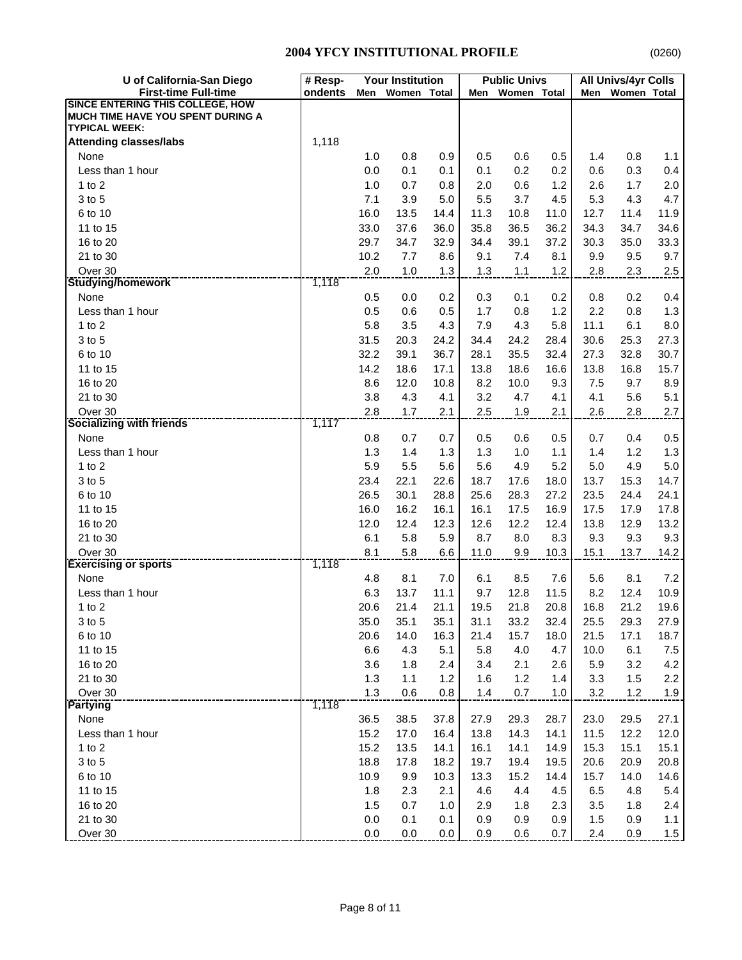| U of California-San Diego                                                                            | # Resp- |             | <b>Your Institution</b> |              |              | <b>Public Univs</b> |              |              | <b>All Univs/4yr Colls</b> |              |
|------------------------------------------------------------------------------------------------------|---------|-------------|-------------------------|--------------|--------------|---------------------|--------------|--------------|----------------------------|--------------|
| <b>First-time Full-time</b>                                                                          | ondents | Men         | Women Total             |              | Men          | Women Total         |              | Men          | Women Total                |              |
| <b>SINCE ENTERING THIS COLLEGE, HOW</b><br>MUCH TIME HAVE YOU SPENT DURING A<br><b>TYPICAL WEEK:</b> |         |             |                         |              |              |                     |              |              |                            |              |
| <b>Attending classes/labs</b>                                                                        | 1,118   |             |                         |              |              |                     |              |              |                            |              |
| None                                                                                                 |         | 1.0         | 0.8                     | 0.9          | 0.5          | 0.6                 | 0.5          | 1.4          | 0.8                        | 1.1          |
| Less than 1 hour                                                                                     |         | 0.0         | 0.1                     | 0.1          | 0.1          | 0.2                 | 0.2          | 0.6          | 0.3                        | 0.4          |
| 1 to $2$                                                                                             |         | 1.0         | 0.7                     | 0.8          | 2.0          | 0.6                 | 1.2          | 2.6          | 1.7                        | 2.0          |
| 3 to 5                                                                                               |         | 7.1         | 3.9                     | 5.0          | 5.5          | 3.7                 | 4.5          | 5.3          | 4.3                        | 4.7          |
| 6 to 10                                                                                              |         | 16.0        | 13.5                    | 14.4         | 11.3         | 10.8                | 11.0         | 12.7         | 11.4                       | 11.9         |
| 11 to 15                                                                                             |         | 33.0        | 37.6                    | 36.0         | 35.8         | 36.5                | 36.2         | 34.3         | 34.7                       | 34.6         |
| 16 to 20                                                                                             |         | 29.7        | 34.7                    | 32.9         | 34.4         | 39.1                | 37.2         | 30.3         | 35.0                       | 33.3         |
| 21 to 30                                                                                             |         | 10.2        | 7.7                     | 8.6          | 9.1          | 7.4                 | 8.1          | 9.9          | 9.5                        | 9.7          |
| Over 30                                                                                              |         | 2.0         | 1.0                     | 1.3          | 1.3          | 1.1                 | 1.2          | 2.8          | 2.3                        | 2.5          |
| <b>Studying/homework</b>                                                                             | 1,118   |             |                         |              |              |                     |              |              |                            |              |
| None                                                                                                 |         | 0.5         | 0.0                     | 0.2          | 0.3          | 0.1                 | 0.2          | 0.8          | 0.2                        | 0.4          |
| Less than 1 hour                                                                                     |         | 0.5         | 0.6                     | 0.5          | 1.7          | 0.8                 | 1.2          | 2.2          | 0.8                        | 1.3          |
| 1 to $2$                                                                                             |         | 5.8         | 3.5                     | 4.3          | 7.9          | 4.3                 | 5.8          | 11.1         | 6.1                        | 8.0          |
| 3 to 5                                                                                               |         | 31.5        | 20.3                    | 24.2         | 34.4         | 24.2                | 28.4         | 30.6         | 25.3                       | 27.3         |
| 6 to 10                                                                                              |         | 32.2        | 39.1                    | 36.7         | 28.1         | 35.5                | 32.4         | 27.3         | 32.8                       | 30.7         |
| 11 to 15                                                                                             |         | 14.2        | 18.6                    | 17.1         | 13.8         | 18.6                | 16.6         | 13.8         | 16.8                       | 15.7         |
| 16 to 20                                                                                             |         | 8.6         | 12.0                    | 10.8         | 8.2          | 10.0                | 9.3          | 7.5          | 9.7                        | 8.9          |
| 21 to 30                                                                                             |         | 3.8         | 4.3                     | 4.1          | 3.2          | 4.7                 | 4.1          | 4.1          | 5.6                        | 5.1          |
| Over 30                                                                                              | 1,117   | 2.8         | 1.7                     | 2.1          | 2.5          | 1.9                 | 2.1          | 2.6          | 2.8                        | 2.7          |
| <b>Socializing with friends</b>                                                                      |         |             |                         |              |              |                     |              |              |                            |              |
| None                                                                                                 |         | 0.8         | 0.7                     | 0.7          | 0.5          | 0.6                 | 0.5          | 0.7          | 0.4                        | 0.5          |
| Less than 1 hour                                                                                     |         | 1.3         | 1.4                     | 1.3          | 1.3          | 1.0                 | 1.1          | 1.4          | 1.2                        | 1.3          |
| 1 to $2$                                                                                             |         | 5.9         | 5.5                     | 5.6          | 5.6          | 4.9                 | 5.2          | 5.0          | 4.9                        | 5.0          |
| 3 to 5<br>6 to 10                                                                                    |         | 23.4        | 22.1                    | 22.6         | 18.7         | 17.6                | 18.0         | 13.7         | 15.3                       | 14.7         |
| 11 to 15                                                                                             |         | 26.5        | 30.1<br>16.2            | 28.8<br>16.1 | 25.6<br>16.1 | 28.3<br>17.5        | 27.2<br>16.9 | 23.5<br>17.5 | 24.4<br>17.9               | 24.1<br>17.8 |
|                                                                                                      |         | 16.0        |                         |              |              |                     |              |              |                            |              |
| 16 to 20<br>21 to 30                                                                                 |         | 12.0<br>6.1 | 12.4<br>5.8             | 12.3<br>5.9  | 12.6<br>8.7  | 12.2<br>8.0         | 12.4<br>8.3  | 13.8<br>9.3  | 12.9<br>9.3                | 13.2<br>9.3  |
| Over 30                                                                                              |         | 8.1         | 5.8                     | 6.6          |              |                     | 10.3         | 15.1         | 13.7                       |              |
| <b>Exercising or sports</b>                                                                          | 1,118   |             |                         |              | 11.0         | 9.9                 |              |              |                            | 14.2         |
| None                                                                                                 |         | 4.8         | 8.1                     | 7.0          | 6.1          | 8.5                 | 7.6          | 5.6          | 8.1                        | 7.2          |
| Less than 1 hour                                                                                     |         | 6.3         | 13.7                    | 11.1         | 9.7          | 12.8                | 11.5         | 8.2          | 12.4                       | 10.9         |
| 1 to $2$                                                                                             |         | 20.6        | 21.4                    | 21.1         | 19.5         | 21.8                | 20.8         | 16.8         | 21.2                       | 19.6         |
| 3 to 5                                                                                               |         | 35.0        | 35.1                    | 35.1         | 31.1         | 33.2                | 32.4         | 25.5         | 29.3                       | 27.9         |
| 6 to 10                                                                                              |         | 20.6        | 14.0                    | 16.3         | 21.4         | 15.7                | 18.0         | 21.5         | 17.1                       | 18.7         |
| 11 to 15                                                                                             |         | 6.6         | 4.3                     | 5.1          | 5.8          | 4.0                 | 4.7          | 10.0         | 6.1                        | $7.5\,$      |
| 16 to 20                                                                                             |         | 3.6         | 1.8                     | 2.4          | 3.4          | 2.1                 | 2.6          | 5.9          | 3.2                        | 4.2          |
| 21 to 30                                                                                             |         | 1.3         | 1.1                     | 1.2          | 1.6          | 1.2                 | 1.4          | 3.3          | 1.5                        | 2.2          |
| Over 30                                                                                              |         | 1.3         | 0.6                     | 0.8          | 1.4          | $0.7\,$             | $1.0$        | 3.2          | 1.2                        | 1.9          |
| <b>Partying</b>                                                                                      | 1,118   |             |                         |              |              |                     |              |              |                            |              |
| None                                                                                                 |         | 36.5        | 38.5                    | 37.8         | 27.9         | 29.3                | 28.7         | 23.0         | 29.5                       | 27.1         |
| Less than 1 hour                                                                                     |         | 15.2        | 17.0                    | 16.4         | 13.8         | 14.3                | 14.1         | 11.5         | 12.2                       | 12.0         |
| $1$ to $2$                                                                                           |         | 15.2        | 13.5                    | 14.1         | 16.1         | 14.1                | 14.9         | 15.3         | 15.1                       | 15.1         |
| 3 to 5                                                                                               |         | 18.8        | 17.8                    | 18.2         | 19.7         | 19.4                | 19.5         | 20.6         | 20.9                       | 20.8         |
| 6 to 10                                                                                              |         | 10.9        | 9.9                     | 10.3         | 13.3         | 15.2                | 14.4         | 15.7         | 14.0                       | 14.6         |
| 11 to 15                                                                                             |         | 1.8         | 2.3                     | 2.1          | 4.6          | 4.4                 | 4.5          | 6.5          | 4.8                        | 5.4          |
| 16 to 20                                                                                             |         | 1.5         | 0.7                     | 1.0          | 2.9          | 1.8                 | 2.3          | 3.5          | 1.8                        | 2.4          |
| 21 to 30                                                                                             |         | 0.0         | 0.1                     | 0.1          | 0.9          | 0.9                 | 0.9          | 1.5          | 0.9                        | 1.1          |
| Over 30                                                                                              |         | 0.0         | 0.0                     | 0.0          | 0.9          | 0.6                 | 0.7          | 2.4          | 0.9                        | 1.5          |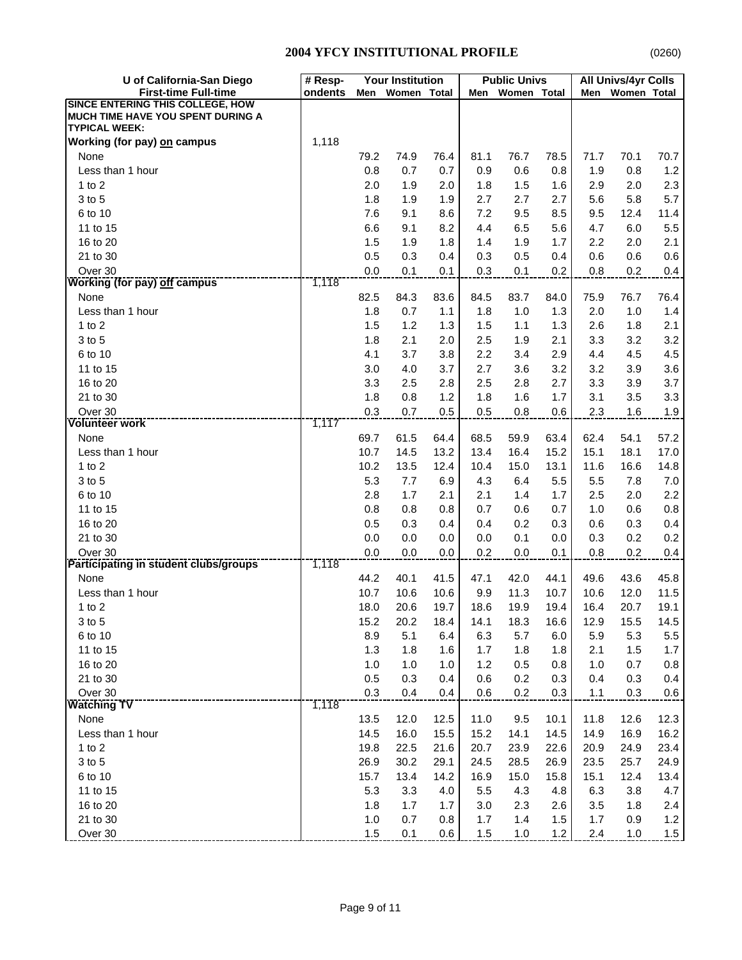| U of California-San Diego                                                                            | <b>Your Institution</b><br># Resp- |              |              | <b>Public Univs</b><br>All Univs/4yr Colls |              |              |              |              |              |              |
|------------------------------------------------------------------------------------------------------|------------------------------------|--------------|--------------|--------------------------------------------|--------------|--------------|--------------|--------------|--------------|--------------|
| <b>First-time Full-time</b>                                                                          | ondents                            | Men          | Women Total  |                                            | Men          | Women Total  |              | Men          | Women Total  |              |
| <b>SINCE ENTERING THIS COLLEGE, HOW</b><br>MUCH TIME HAVE YOU SPENT DURING A<br><b>TYPICAL WEEK:</b> |                                    |              |              |                                            |              |              |              |              |              |              |
| Working (for pay) on campus                                                                          | 1,118                              |              |              |                                            |              |              |              |              |              |              |
| None                                                                                                 |                                    | 79.2         | 74.9         | 76.4                                       | 81.1         | 76.7         | 78.5         | 71.7         | 70.1         | 70.7         |
| Less than 1 hour                                                                                     |                                    | 0.8          | 0.7          | 0.7                                        | 0.9          | 0.6          | 0.8          | 1.9          | 0.8          | 1.2          |
| 1 to $2$                                                                                             |                                    | 2.0          | 1.9          | 2.0                                        | 1.8          | 1.5          | 1.6          | 2.9          | 2.0          | 2.3          |
| 3 to 5                                                                                               |                                    | 1.8          | 1.9          | 1.9                                        | 2.7          | 2.7          | 2.7          | 5.6          | 5.8          | 5.7          |
| 6 to 10                                                                                              |                                    | 7.6          | 9.1          | 8.6                                        | 7.2          | 9.5          | 8.5          | 9.5          | 12.4         | 11.4         |
| 11 to 15                                                                                             |                                    | 6.6          | 9.1          | 8.2                                        | 4.4          | 6.5          | 5.6          | 4.7          | 6.0          | 5.5          |
| 16 to 20                                                                                             |                                    | 1.5          | 1.9          | 1.8                                        | 1.4          | 1.9          | 1.7          | 2.2          | 2.0          | 2.1          |
| 21 to 30                                                                                             |                                    | 0.5          | 0.3          | 0.4                                        | 0.3          | 0.5          | 0.4          | 0.6          | 0.6          | 0.6          |
| Over 30                                                                                              |                                    | 0.0          | 0.1          | 0.1                                        | 0.3          | 0.1          | 0.2          | 0.8          | 0.2          | 0.4          |
| <b>Working (for pay) off campus</b>                                                                  | 1,118                              |              |              |                                            |              |              |              |              |              |              |
| None                                                                                                 |                                    | 82.5         | 84.3         | 83.6                                       | 84.5         | 83.7         | 84.0         | 75.9         | 76.7         | 76.4         |
| Less than 1 hour                                                                                     |                                    | 1.8          | 0.7          | 1.1                                        | 1.8          | 1.0          | 1.3          | 2.0          | 1.0          | 1.4          |
| $1$ to $2$                                                                                           |                                    | 1.5          | 1.2          | 1.3                                        | 1.5          | 1.1          | 1.3          | 2.6          | 1.8          | 2.1          |
| 3 to 5                                                                                               |                                    | 1.8          | 2.1          | 2.0                                        | 2.5          | 1.9          | 2.1          | 3.3          | 3.2          | 3.2          |
| 6 to 10                                                                                              |                                    | 4.1          | 3.7          | 3.8                                        | 2.2          | 3.4          | 2.9          | 4.4          | 4.5          | 4.5          |
| 11 to 15                                                                                             |                                    | 3.0          | 4.0          | 3.7                                        | 2.7          | 3.6          | 3.2          | 3.2          | 3.9          | 3.6          |
| 16 to 20                                                                                             |                                    | 3.3          | 2.5          | 2.8                                        | 2.5          | 2.8          | 2.7          | 3.3          | 3.9          | 3.7          |
| 21 to 30                                                                                             |                                    | 1.8          | 0.8          | 1.2                                        | 1.8          | 1.6          | 1.7          | 3.1          | 3.5          | 3.3          |
| Over 30<br><b>Volunteer work</b>                                                                     | 1,117                              | 0.3          | 0.7          | 0.5                                        | 0.5          | 0.8          | 0.6          | 2.3          | 1.6          | 1.9          |
|                                                                                                      |                                    |              |              |                                            |              |              |              |              |              |              |
| None<br>Less than 1 hour                                                                             |                                    | 69.7<br>10.7 | 61.5<br>14.5 | 64.4<br>13.2                               | 68.5<br>13.4 | 59.9<br>16.4 | 63.4<br>15.2 | 62.4<br>15.1 | 54.1<br>18.1 | 57.2<br>17.0 |
| 1 to $2$                                                                                             |                                    | 10.2         | 13.5         | 12.4                                       | 10.4         | 15.0         | 13.1         | 11.6         | 16.6         |              |
| 3 to 5                                                                                               |                                    | 5.3          | 7.7          | 6.9                                        | 4.3          | 6.4          | 5.5          | 5.5          | 7.8          | 14.8<br>7.0  |
| 6 to 10                                                                                              |                                    | 2.8          | 1.7          | 2.1                                        | 2.1          | 1.4          | 1.7          | 2.5          | 2.0          | 2.2          |
| 11 to 15                                                                                             |                                    | 0.8          | 0.8          | 0.8                                        | 0.7          | 0.6          | 0.7          | 1.0          | 0.6          | 0.8          |
| 16 to 20                                                                                             |                                    | 0.5          | 0.3          | 0.4                                        | 0.4          | 0.2          | 0.3          | 0.6          | 0.3          | 0.4          |
| 21 to 30                                                                                             |                                    | 0.0          | 0.0          | 0.0                                        | 0.0          | 0.1          | 0.0          | 0.3          | 0.2          | 0.2          |
| Over 30                                                                                              |                                    | 0.0          | 0.0          | 0.0                                        | 0.2          | 0.0          | 0.1          | 0.8          | 0.2          | 0.4          |
| <b>Participating in student clubs/groups</b>                                                         | 1,118                              |              |              |                                            |              |              |              |              |              |              |
| None                                                                                                 |                                    | 44.2         | 40.1         | 41.5                                       | 47.1         | 42.0         | 44.1         | 49.6         | 43.6         | 45.8         |
| Less than 1 hour                                                                                     |                                    | 10.7         | 10.6         | 10.6                                       | 9.9          | 11.3         | 10.7         | 10.6         | 12.0         | 11.5         |
| 1 to $2$                                                                                             |                                    | 18.0         | 20.6         | 19.7                                       | 18.6         | 19.9         | 19.4         | 16.4         | 20.7         | 19.1         |
| 3 to 5                                                                                               |                                    | 15.2         | 20.2         | 18.4                                       | 14.1         | 18.3         | 16.6         | 12.9         | 15.5         | 14.5         |
| 6 to 10                                                                                              |                                    | 8.9          | 5.1          | 6.4                                        | 6.3          | 5.7          | 6.0          | 5.9          | 5.3          | $5.5\,$      |
| 11 to 15                                                                                             |                                    | 1.3          | 1.8          | 1.6                                        | 1.7          | 1.8          | 1.8          | 2.1          | 1.5          | 1.7          |
| 16 to 20                                                                                             |                                    | 1.0          | 1.0          | 1.0                                        | 1.2          | 0.5          | 0.8          | 1.0          | 0.7          | 0.8          |
| 21 to 30                                                                                             |                                    | 0.5          | 0.3          | 0.4                                        | 0.6          | 0.2          | 0.3          | 0.4          | 0.3          | 0.4          |
| Over 30                                                                                              |                                    | 0.3          | 0.4          | 0.4                                        | 0.6          | 0.2          | 0.3          | 1.1          | 0.3          | 0.6          |
| <b>Watching TV</b>                                                                                   | 1,118                              |              |              |                                            |              |              |              |              |              |              |
| None                                                                                                 |                                    | 13.5         | 12.0         | 12.5                                       | 11.0         | 9.5          | 10.1         | 11.8         | 12.6         | 12.3         |
| Less than 1 hour                                                                                     |                                    | 14.5         | 16.0         | 15.5                                       | 15.2         | 14.1         | 14.5         | 14.9         | 16.9         | 16.2         |
| $1$ to $2$                                                                                           |                                    | 19.8         | 22.5         | 21.6                                       | 20.7         | 23.9         | 22.6         | 20.9         | 24.9         | 23.4         |
| 3 to 5                                                                                               |                                    | 26.9         | 30.2         | 29.1                                       | 24.5         | 28.5         | 26.9         | 23.5         | 25.7         | 24.9         |
| 6 to 10                                                                                              |                                    | 15.7         | 13.4         | 14.2                                       | 16.9         | 15.0         | 15.8         | 15.1         | 12.4         | 13.4         |
| 11 to 15                                                                                             |                                    | 5.3          | 3.3          | 4.0                                        | 5.5          | 4.3          | 4.8          | 6.3          | 3.8          | 4.7          |
| 16 to 20                                                                                             |                                    | 1.8          | 1.7          | 1.7                                        | 3.0          | 2.3          | 2.6          | 3.5          | 1.8          | 2.4          |
| 21 to 30                                                                                             |                                    | 1.0          | 0.7          | 0.8                                        | 1.7          | 1.4          | 1.5          | $1.7$        | 0.9          | $1.2$        |
| Over 30                                                                                              |                                    | 1.5          | 0.1          | 0.6                                        | 1.5          | 1.0          | $1.2$        | 2.4          | 1.0          | 1.5          |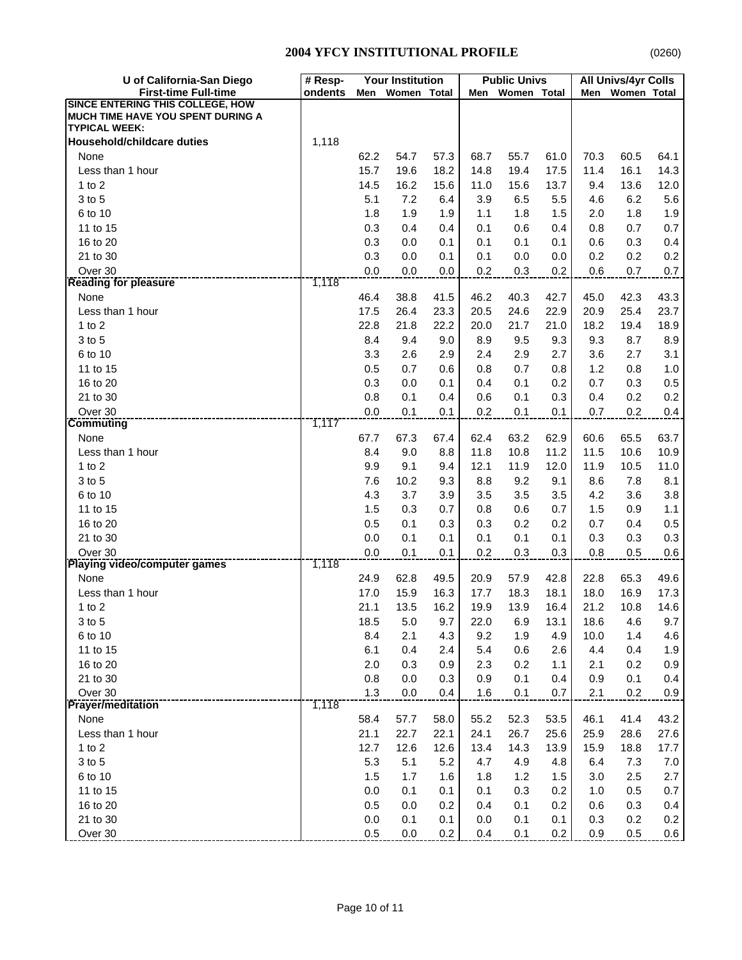| U of California-San Diego                                                    | <b>Your Institution</b><br># Resp- |              |              | <b>Public Univs</b> |              | All Univs/4yr Colls |              |              |                    |              |
|------------------------------------------------------------------------------|------------------------------------|--------------|--------------|---------------------|--------------|---------------------|--------------|--------------|--------------------|--------------|
| <b>First-time Full-time</b>                                                  | ondents                            | Men          | Women Total  |                     | Men          | Women Total         |              | Men          | <b>Women Total</b> |              |
| <b>SINCE ENTERING THIS COLLEGE, HOW</b><br>MUCH TIME HAVE YOU SPENT DURING A |                                    |              |              |                     |              |                     |              |              |                    |              |
| <b>TYPICAL WEEK:</b><br><b>Household/childcare duties</b>                    | 1,118                              |              |              |                     |              |                     |              |              |                    |              |
| None                                                                         |                                    | 62.2         | 54.7         | 57.3                | 68.7         | 55.7                | 61.0         | 70.3         | 60.5               | 64.1         |
| Less than 1 hour                                                             |                                    | 15.7         | 19.6         | 18.2                | 14.8         | 19.4                | 17.5         | 11.4         | 16.1               | 14.3         |
| 1 to $2$                                                                     |                                    | 14.5         | 16.2         | 15.6                | 11.0         | 15.6                | 13.7         | 9.4          | 13.6               | 12.0         |
| 3 to 5                                                                       |                                    | 5.1          | 7.2          | 6.4                 | 3.9          | 6.5                 | 5.5          | 4.6          | 6.2                | 5.6          |
| 6 to 10                                                                      |                                    | 1.8          | 1.9          | 1.9                 | 1.1          | 1.8                 | 1.5          | 2.0          | 1.8                | 1.9          |
| 11 to 15                                                                     |                                    | 0.3          | 0.4          | 0.4                 | 0.1          | 0.6                 | 0.4          | 0.8          | 0.7                | 0.7          |
| 16 to 20                                                                     |                                    | 0.3          | 0.0          | 0.1                 | 0.1          | 0.1                 | 0.1          | 0.6          | 0.3                | 0.4          |
| 21 to 30                                                                     |                                    | 0.3          | 0.0          | 0.1                 | 0.1          | 0.0                 | 0.0          | 0.2          | 0.2                | 0.2          |
| Over 30                                                                      |                                    | 0.0          | 0.0          | 0.0                 | 0.2          | 0.3                 | 0.2          | $0.6\,$      | 0.7                | 0.7          |
| <b>Reading for pleasure</b>                                                  | 1,118                              |              |              |                     |              |                     |              |              |                    |              |
| None                                                                         |                                    | 46.4         | 38.8         | 41.5                | 46.2         | 40.3                | 42.7         | 45.0         | 42.3               | 43.3         |
| Less than 1 hour                                                             |                                    | 17.5         | 26.4         | 23.3                | 20.5         | 24.6                | 22.9         | 20.9         | 25.4               | 23.7         |
| 1 to $2$                                                                     |                                    | 22.8         | 21.8         | 22.2                | 20.0         | 21.7                | 21.0         | 18.2         | 19.4               | 18.9         |
| 3 to 5                                                                       |                                    | 8.4          | 9.4          | 9.0                 | 8.9          | 9.5                 | 9.3          | 9.3          | 8.7                | 8.9          |
| 6 to 10                                                                      |                                    | 3.3          | 2.6          | 2.9                 | 2.4          | 2.9                 | 2.7          | 3.6          | 2.7                | 3.1          |
| 11 to 15                                                                     |                                    | 0.5          | 0.7          | 0.6                 | 0.8          | 0.7                 | 0.8          | 1.2          | 0.8                | 1.0          |
| 16 to 20                                                                     |                                    | 0.3          | 0.0          | 0.1                 | 0.4          | 0.1                 | 0.2          | 0.7          | 0.3                | 0.5          |
| 21 to 30                                                                     |                                    | 0.8          | 0.1          | 0.4                 | 0.6          | 0.1                 | 0.3          | 0.4          | 0.2                | 0.2          |
| Over 30                                                                      |                                    | 0.0          | 0.1          | 0.1                 | 0.2          | 0.1                 | 0.1          | 0.7          | 0.2                | 0.4          |
| <b>Commuting</b>                                                             | 1,117                              |              |              |                     |              |                     |              |              |                    |              |
| None                                                                         |                                    | 67.7         | 67.3         | 67.4                | 62.4         | 63.2                | 62.9         | 60.6         | 65.5               | 63.7         |
| Less than 1 hour                                                             |                                    | 8.4          | 9.0          | 8.8                 | 11.8         | 10.8                | 11.2         | 11.5         | 10.6               | 10.9         |
| 1 to $2$                                                                     |                                    | 9.9          | 9.1          | 9.4                 | 12.1         | 11.9                | 12.0         | 11.9         | 10.5               | 11.0         |
| 3 to 5                                                                       |                                    | 7.6          | 10.2         | 9.3                 | 8.8          | 9.2                 | 9.1          | 8.6          | 7.8                | 8.1          |
| 6 to 10                                                                      |                                    | 4.3          | 3.7          | 3.9                 | 3.5          | 3.5                 | 3.5          | 4.2          | 3.6                | 3.8          |
| 11 to 15                                                                     |                                    | 1.5          | 0.3          | 0.7                 | 0.8          | 0.6                 | 0.7          | 1.5          | 0.9                | 1.1          |
| 16 to 20                                                                     |                                    | 0.5          | 0.1          | 0.3                 | 0.3          | 0.2                 | 0.2          | 0.7          | 0.4                | 0.5          |
| 21 to 30                                                                     |                                    | 0.0          | 0.1          | 0.1                 | 0.1          | 0.1                 | 0.1          | 0.3          | 0.3                | 0.3          |
| Over 30<br>Playing video/computer games                                      |                                    | 0.0          | 0.1          | 0.1                 | 0.2          | 0.3                 | 0.3          | 0.8          | 0.5                | 0.6          |
|                                                                              | 1,118                              |              |              |                     |              |                     |              |              |                    |              |
| None                                                                         |                                    | 24.9         | 62.8         | 49.5                | 20.9         | 57.9                | 42.8         | 22.8         | 65.3               | 49.6<br>17.3 |
| Less than 1 hour                                                             |                                    | 17.0<br>21.1 | 15.9<br>13.5 | 16.3<br>16.2        | 17.7<br>19.9 | 18.3<br>13.9        | 18.1<br>16.4 | 18.0<br>21.2 | 16.9<br>10.8       | 14.6         |
| 1 to $2$                                                                     |                                    | 18.5         | 5.0          |                     |              | 6.9                 |              |              |                    | 9.7          |
| 3 to 5<br>6 to 10                                                            |                                    | 8.4          | 2.1          | 9.7<br>4.3          | 22.0<br>9.2  | 1.9                 | 13.1<br>4.9  | 18.6<br>10.0 | 4.6<br>1.4         | 4.6          |
| 11 to 15                                                                     |                                    | 6.1          | 0.4          | 2.4                 | 5.4          | 0.6                 | 2.6          | 4.4          | 0.4                | 1.9          |
| 16 to 20                                                                     |                                    | 2.0          | 0.3          | 0.9                 | 2.3          | 0.2                 | 1.1          | 2.1          | 0.2                | 0.9          |
| 21 to 30                                                                     |                                    | 0.8          | 0.0          | 0.3                 | 0.9          | 0.1                 | 0.4          | 0.9          | 0.1                | 0.4          |
| Over 30                                                                      |                                    | 1.3          | $0.0\,$      | 0.4                 | 1.6          | 0.1                 | 0.7          | 2.1          | 0.2                | 0.9          |
| <b>Prayer/meditation</b>                                                     | 1,118                              |              |              |                     |              |                     |              |              |                    |              |
| None                                                                         |                                    | 58.4         | 57.7         | 58.0                | 55.2         | 52.3                | 53.5         | 46.1         | 41.4               | 43.2         |
| Less than 1 hour                                                             |                                    | 21.1         | 22.7         | 22.1                | 24.1         | 26.7                | 25.6         | 25.9         | 28.6               | 27.6         |
| $1$ to $2$                                                                   |                                    | 12.7         | 12.6         | 12.6                | 13.4         | 14.3                | 13.9         | 15.9         | 18.8               | 17.7         |
| 3 to 5                                                                       |                                    | 5.3          | 5.1          | 5.2                 | 4.7          | 4.9                 | 4.8          | 6.4          | 7.3                | 7.0          |
| 6 to 10                                                                      |                                    | 1.5          | 1.7          | 1.6                 | 1.8          | 1.2                 | 1.5          | 3.0          | 2.5                | 2.7          |
| 11 to 15                                                                     |                                    | 0.0          | 0.1          | 0.1                 | 0.1          | 0.3                 | 0.2          | 1.0          | 0.5                | 0.7          |
| 16 to 20                                                                     |                                    | 0.5          | 0.0          | 0.2                 | 0.4          | 0.1                 | 0.2          | 0.6          | 0.3                | 0.4          |
| 21 to 30                                                                     |                                    | 0.0          | 0.1          | 0.1                 | 0.0          | 0.1                 | 0.1          | 0.3          | 0.2                | 0.2          |
| Over 30                                                                      |                                    | 0.5          | $0.0\,$      | 0.2                 | 0.4          | 0.1                 | 0.2          | 0.9          | 0.5                | 0.6          |